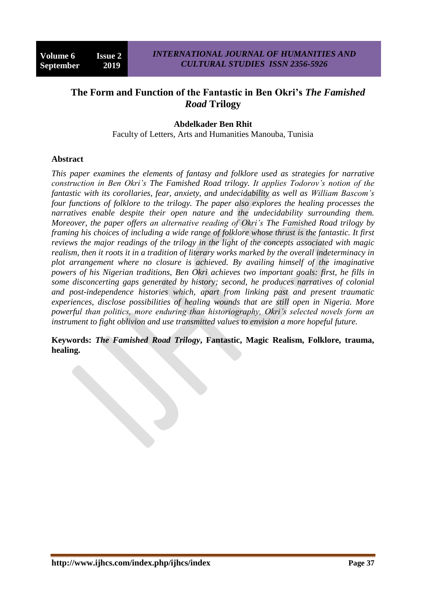# **The Form and Function of the Fantastic in Ben Okri's** *The Famished Road* **Trilogy**

### **Abdelkader Ben Rhit**

Faculty of Letters, Arts and Humanities Manouba, Tunisia

#### **Abstract**

*This paper examines the elements of fantasy and folklore used as strategies for narrative construction in Ben Okri's The Famished Road trilogy. It applies Todorov's notion of the fantastic with its corollaries, fear, anxiety, and undecidability as well as William Bascom's four functions of folklore to the trilogy. The paper also explores the healing processes the narratives enable despite their open nature and the undecidability surrounding them. Moreover, the paper offers an alternative reading of Okri's The Famished Road trilogy by framing his choices of including a wide range of folklore whose thrust is the fantastic. It first reviews the major readings of the trilogy in the light of the concepts associated with magic realism, then it roots it in a tradition of literary works marked by the overall indeterminacy in plot arrangement where no closure is achieved. By availing himself of the imaginative powers of his Nigerian traditions, Ben Okri achieves two important goals: first, he fills in some disconcerting gaps generated by history; second, he produces narratives of colonial and post-independence histories which, apart from linking past and present traumatic experiences, disclose possibilities of healing wounds that are still open in Nigeria. More powerful than politics, more enduring than historiography, Okri's selected novels form an instrument to fight oblivion and use transmitted values to envision a more hopeful future.*

**Keywords:** *The Famished Road Trilogy***, Fantastic, Magic Realism, Folklore, trauma, healing.**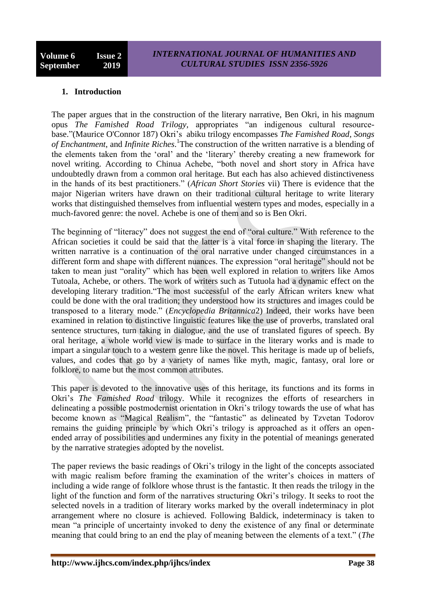### **1. Introduction**

The paper argues that in the construction of the literary narrative, Ben Okri, in his magnum opus *The Famished Road Trilogy,* appropriates "an indigenous cultural resourcebase."(Maurice O'Connor 187) Okri"s abiku trilogy encompasses *The Famished Road*, *Songs of Enchantment*, and *Infinite Riches*. 1 The construction of the written narrative is a blending of the elements taken from the "oral" and the "literary" thereby creating a new framework for novel writing. According to Chinua Achebe, "both novel and short story in Africa have undoubtedly drawn from a common oral heritage. But each has also achieved distinctiveness in the hands of its best practitioners." (*African Short Stories* vii) There is evidence that the major Nigerian writers have drawn on their traditional cultural heritage to write literary works that distinguished themselves from influential western types and modes, especially in a much-favored genre: the novel. Achebe is one of them and so is Ben Okri.

The beginning of "literacy" does not suggest the end of "oral culture." With reference to the African societies it could be said that the latter is a vital force in shaping the literary. The written narrative is a continuation of the oral narrative under changed circumstances in a different form and shape with different nuances. The expression "oral heritage" should not be taken to mean just "orality" which has been well explored in relation to writers like Amos Tutoala, Achebe, or others. The work of writers such as Tutuola had a dynamic effect on the developing literary tradition."The most successful of the early African writers knew what could be done with the oral tradition; they understood how its structures and images could be transposed to a literary mode." (*Encyclopedia Britannica*2) Indeed, their works have been examined in relation to distinctive linguistic features like the use of proverbs, translated oral sentence structures, turn taking in dialogue, and the use of translated figures of speech. By oral heritage, a whole world view is made to surface in the literary works and is made to impart a singular touch to a western genre like the novel. This heritage is made up of beliefs, values, and codes that go by a variety of names like myth, magic, fantasy, oral lore or folklore, to name but the most common attributes.

This paper is devoted to the innovative uses of this heritage, its functions and its forms in Okri"s *The Famished Road* trilogy. While it recognizes the efforts of researchers in delineating a possible postmodernist orientation in Okri"s trilogy towards the use of what has become known as "Magical Realism", the "fantastic" as delineated by Tzvetan Todorov remains the guiding principle by which Okri"s trilogy is approached as it offers an openended array of possibilities and undermines any fixity in the potential of meanings generated by the narrative strategies adopted by the novelist.

The paper reviews the basic readings of Okri's trilogy in the light of the concepts associated with magic realism before framing the examination of the writer's choices in matters of including a wide range of folklore whose thrust is the fantastic. It then reads the trilogy in the light of the function and form of the narratives structuring Okri's trilogy. It seeks to root the selected novels in a tradition of literary works marked by the overall indeterminacy in plot arrangement where no closure is achieved. Following Baldick, indeterminacy is taken to mean "a principle of uncertainty invoked to deny the existence of any final or determinate meaning that could bring to an end the play of meaning between the elements of a text." (*The*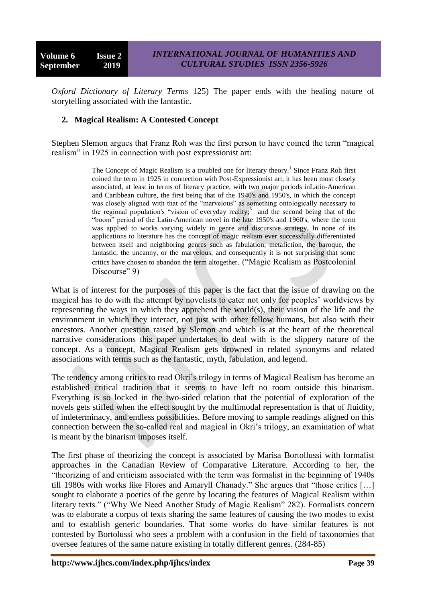*Oxford Dictionary of Literary Terms* 125) The paper ends with the healing nature of storytelling associated with the fantastic.

### **2. Magical Realism: A Contested Concept**

Stephen Slemon argues that Franz Roh was the first person to have coined the term "magical realism" in 1925 in connection with post expressionist art:

> The Concept of Magic Realism is a troubled one for literary theory.<sup>1</sup> Since Franz Roh first coined the term in 1925 in connection with Post-Expressionist art, it has been most closely associated, at least in terms of literary practice, with two major periods inLatin-American and Caribbean culture, the first being that of the 1940's and 1950's, in which the concept was closely aligned with that of the "marvelous" as something ontologically necessary to the regional population's "vision of everyday reality;<sup>5</sup> and the second being that of the "boom" period of the Latin-American novel in the late 1950's and 1960's, where the term was applied to works varying widely in genre and discursive strategy. In none of its applications to literature has the concept of magic realism ever successfully differentiated between itself and neighboring genres such as fabulation, metafiction, the baroque, the fantastic, the uncanny, or the marvelous, and consequently it is not surprising that some critics have chosen to abandon the term altogether. ("Magic Realism as Postcolonial Discourse" 9)

What is of interest for the purposes of this paper is the fact that the issue of drawing on the magical has to do with the attempt by novelists to cater not only for peoples" worldviews by representing the ways in which they apprehend the world(s), their vision of the life and the environment in which they interact, not just with other fellow humans, but also with their ancestors. Another question raised by Slemon and which is at the heart of the theoretical narrative considerations this paper undertakes to deal with is the slippery nature of the concept. As a concept, Magical Realism gets drowned in related synonyms and related associations with terms such as the fantastic, myth, fabulation, and legend.

The tendency among critics to read Okri"s trilogy in terms of Magical Realism has become an established critical tradition that it seems to have left no room outside this binarism. Everything is so locked in the two-sided relation that the potential of exploration of the novels gets stifled when the effect sought by the multimodal representation is that of fluidity, of indeterminacy, and endless possibilities. Before moving to sample readings aligned on this connection between the so-called real and magical in Okri"s trilogy, an examination of what is meant by the binarism imposes itself.

The first phase of theorizing the concept is associated by Marisa Bortollussi with formalist approaches in the Canadian Review of Comparative Literature. According to her, the "theorizing of and criticism associated with the term was formalist in the beginning of 1940s till 1980s with works like Flores and Amaryll Chanady." She argues that "those critics […] sought to elaborate a poetics of the genre by locating the features of Magical Realism within literary texts." ("Why We Need Another Study of Magic Realism" 282). Formalists concern was to elaborate a corpus of texts sharing the same features of causing the two modes to exist and to establish generic boundaries. That some works do have similar features is not contested by Bortolussi who sees a problem with a confusion in the field of taxonomies that oversee features of the same nature existing in totally different genres. (284-85)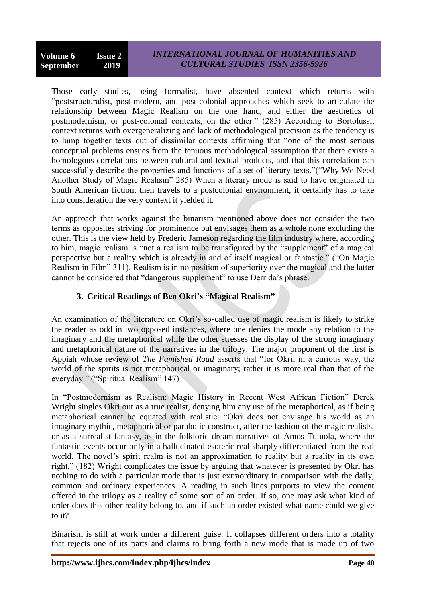Those early studies, being formalist, have absented context which returns with "poststructuralist, post-modern, and post-colonial approaches which seek to articulate the relationship between Magic Realism on the one hand, and either the aesthetics of postmodernism, or post-colonial contexts, on the other." (285) According to Bortolussi, context returns with overgeneralizing and lack of methodological precision as the tendency is to lump together texts out of dissimilar contexts affirming that "one of the most serious conceptual problems ensues from the tenuous methodological assumption that there exists a homologous correlations between cultural and textual products, and that this correlation can successfully describe the properties and functions of a set of literary texts."("Why We Need Another Study of Magic Realism" 285) When a literary mode is said to have originated in South American fiction, then travels to a postcolonial environment, it certainly has to take into consideration the very context it yielded it.

An approach that works against the binarism mentioned above does not consider the two terms as opposites striving for prominence but envisages them as a whole none excluding the other. This is the view held by Frederic Jameson regarding the film industry where, according to him, magic realism is "not a realism to be transfigured by the "supplement" of a magical perspective but a reality which is already in and of itself magical or fantastic." ("On Magic Realism in Film" 311). Realism is in no position of superiority over the magical and the latter cannot be considered that "dangerous supplement" to use Derrida"s phrase.

# **3. Critical Readings of Ben Okri's "Magical Realism"**

An examination of the literature on Okri's so-called use of magic realism is likely to strike the reader as odd in two opposed instances, where one denies the mode any relation to the imaginary and the metaphorical while the other stresses the display of the strong imaginary and metaphorical nature of the narratives in the trilogy. The major proponent of the first is Appiah whose review of *The Famished Road* asserts that "for Okri, in a curious way, the world of the spirits is not metaphorical or imaginary; rather it is more real than that of the everyday." ("Spiritual Realism" 147)

In "Postmodernism as Realism: Magic History in Recent West African Fiction" Derek Wright singles Okri out as a true realist, denying him any use of the metaphorical, as if being metaphorical cannot be equated with realistic: "Okri does not envisage his world as an imaginary mythic, metaphorical or parabolic construct, after the fashion of the magic realists, or as a surrealist fantasy, as in the folkloric dream-narratives of Amos Tutuola, where the fantastic events occur only in a hallucinated esoteric real sharply differentiated from the real world. The novel"s spirit realm is not an approximation to reality but a reality in its own right." (182) Wright complicates the issue by arguing that whatever is presented by Okri has nothing to do with a particular mode that is just extraordinary in comparison with the daily, common and ordinary experiences. A reading in such lines purports to view the content offered in the trilogy as a reality of some sort of an order. If so, one may ask what kind of order does this other reality belong to, and if such an order existed what name could we give to it?

Binarism is still at work under a different guise. It collapses different orders into a totality that rejects one of its parts and claims to bring forth a new mode that is made up of two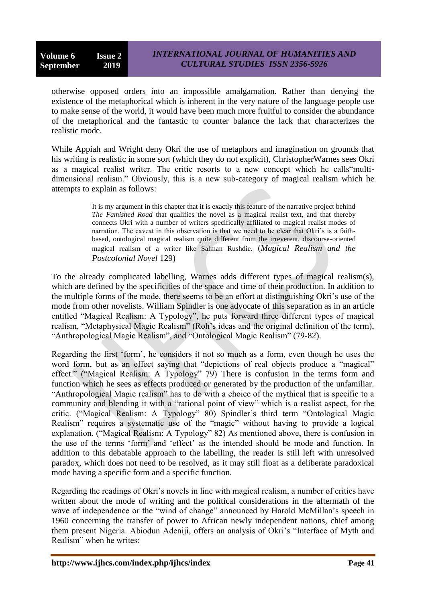otherwise opposed orders into an impossible amalgamation. Rather than denying the existence of the metaphorical which is inherent in the very nature of the language people use to make sense of the world, it would have been much more fruitful to consider the abundance of the metaphorical and the fantastic to counter balance the lack that characterizes the realistic mode.

While Appiah and Wright deny Okri the use of metaphors and imagination on grounds that his writing is realistic in some sort (which they do not explicit), ChristopherWarnes sees Okri as a magical realist writer. The critic resorts to a new concept which he calls"multidimensional realism." Obviously, this is a new sub-category of magical realism which he attempts to explain as follows:

> It is my argument in this chapter that it is exactly this feature of the narrative project behind *The Famished Road* that qualifies the novel as a magical realist text, and that thereby connects Okri with a number of writers specifically affiliated to magical realist modes of narration. The caveat in this observation is that we need to be clear that Okri's is a faithbased, ontological magical realism quite different from the irreverent, discourse-oriented magical realism of a writer like Salman Rushdie. (*Magical Realism and the Postcolonial Novel* 129)

To the already complicated labelling, Warnes adds different types of magical realism(s), which are defined by the specificities of the space and time of their production. In addition to the multiple forms of the mode, there seems to be an effort at distinguishing Okri"s use of the mode from other novelists. William Spindler is one advocate of this separation as in an article entitled "Magical Realism: A Typology", he puts forward three different types of magical realism, "Metaphysical Magic Realism" (Roh"s ideas and the original definition of the term), "Anthropological Magic Realism", and "Ontological Magic Realism" (79-82).

Regarding the first "form", he considers it not so much as a form, even though he uses the word form, but as an effect saying that "depictions of real objects produce a "magical" effect." ("Magical Realism: A Typology" 79) There is confusion in the terms form and function which he sees as effects produced or generated by the production of the unfamiliar. "Anthropological Magic realism" has to do with a choice of the mythical that is specific to a community and blending it with a "rational point of view" which is a realist aspect, for the critic. ("Magical Realism: A Typology" 80) Spindler"s third term "Ontological Magic Realism" requires a systematic use of the "magic" without having to provide a logical explanation. ("Magical Realism: A Typology" 82) As mentioned above, there is confusion in the use of the terms "form" and "effect" as the intended should be mode and function. In addition to this debatable approach to the labelling, the reader is still left with unresolved paradox, which does not need to be resolved, as it may still float as a deliberate paradoxical mode having a specific form and a specific function.

Regarding the readings of Okri"s novels in line with magical realism, a number of critics have written about the mode of writing and the political considerations in the aftermath of the wave of independence or the "wind of change" announced by Harold McMillan's speech in 1960 concerning the transfer of power to African newly independent nations, chief among them present Nigeria. Abiodun Adeniji, offers an analysis of Okri"s "Interface of Myth and Realism" when he writes: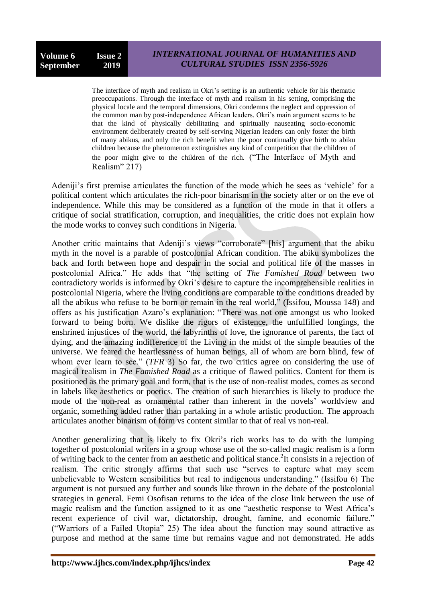The interface of myth and realism in Okri's setting is an authentic vehicle for his thematic preoccupations. Through the interface of myth and realism in his setting, comprising the physical locale and the temporal dimensions, Okri condemns the neglect and oppression of the common man by post-independence African leaders. Okri"s main argument seems to be that the kind of physically debilitating and spiritually nauseating socio-economic environment deliberately created by self-serving Nigerian leaders can only foster the birth of many abikus, and only the rich benefit when the poor continually give birth to abiku children because the phenomenon extinguishes any kind of competition that the children of the poor might give to the children of the rich. ("The Interface of Myth and Realism" 217)

Adeniji's first premise articulates the function of the mode which he sees as 'vehicle' for a political content which articulates the rich-poor binarism in the society after or on the eve of independence. While this may be considered as a function of the mode in that it offers a critique of social stratification, corruption, and inequalities, the critic does not explain how the mode works to convey such conditions in Nigeria.

Another critic maintains that Adeniji"s views "corroborate" [his] argument that the abiku myth in the novel is a parable of postcolonial African condition. The abiku symbolizes the back and forth between hope and despair in the social and political life of the masses in postcolonial Africa." He adds that "the setting of *The Famished Road* between two contradictory worlds is informed by Okri"s desire to capture the incomprehensible realities in postcolonial Nigeria, where the living conditions are comparable to the conditions dreaded by all the abikus who refuse to be born or remain in the real world," (Issifou, Moussa 148) and offers as his justification Azaro's explanation: "There was not one amongst us who looked forward to being born. We dislike the rigors of existence, the unfulfilled longings, the enshrined injustices of the world, the labyrinths of love, the ignorance of parents, the fact of dying, and the amazing indifference of the Living in the midst of the simple beauties of the universe. We feared the heartlessness of human beings, all of whom are born blind, few of whom ever learn to see." (*TFR* 3) So far, the two critics agree on considering the use of magical realism in *The Famished Road* as a critique of flawed politics. Content for them is positioned as the primary goal and form, that is the use of non-realist modes, comes as second in labels like aesthetics or poetics. The creation of such hierarchies is likely to produce the mode of the non-real as ornamental rather than inherent in the novels" worldview and organic, something added rather than partaking in a whole artistic production. The approach articulates another binarism of form vs content similar to that of real vs non-real.

Another generalizing that is likely to fix Okri"s rich works has to do with the lumping together of postcolonial writers in a group whose use of the so-called magic realism is a form of writing back to the center from an aesthetic and political stance. 2 It consists in a rejection of realism. The critic strongly affirms that such use "serves to capture what may seem unbelievable to Western sensibilities but real to indigenous understanding." (Issifou 6) The argument is not pursued any further and sounds like thrown in the debate of the postcolonial strategies in general. Femi Osofisan returns to the idea of the close link between the use of magic realism and the function assigned to it as one "aesthetic response to West Africa"s recent experience of civil war, dictatorship, drought, famine, and economic failure." ("Warriors of a Failed Utopia" 25) The idea about the function may sound attractive as purpose and method at the same time but remains vague and not demonstrated. He adds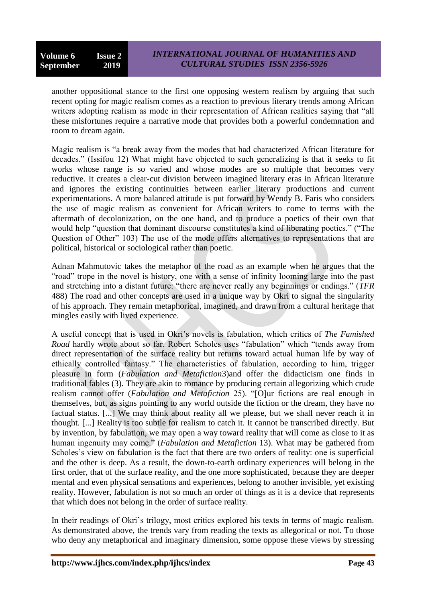another oppositional stance to the first one opposing western realism by arguing that such recent opting for magic realism comes as a reaction to previous literary trends among African writers adopting realism as mode in their representation of African realities saying that "all these misfortunes require a narrative mode that provides both a powerful condemnation and room to dream again.

Magic realism is "a break away from the modes that had characterized African literature for decades." (Issifou 12) What might have objected to such generalizing is that it seeks to fit works whose range is so varied and whose modes are so multiple that becomes very reductive. It creates a clear-cut division between imagined literary eras in African literature and ignores the existing continuities between earlier literary productions and current experimentations. A more balanced attitude is put forward by Wendy B. Faris who considers the use of magic realism as convenient for African writers to come to terms with the aftermath of decolonization, on the one hand, and to produce a poetics of their own that would help "question that dominant discourse constitutes a kind of liberating poetics." ("The Question of Other" 103) The use of the mode offers alternatives to representations that are political, historical or sociological rather than poetic.

Adnan Mahmutovic takes the metaphor of the road as an example when he argues that the "road" trope in the novel is history, one with a sense of infinity looming large into the past and stretching into a distant future: "there are never really any beginnings or endings." (*TFR*  488) The road and other concepts are used in a unique way by Okri to signal the singularity of his approach. They remain metaphorical, imagined, and drawn from a cultural heritage that mingles easily with lived experience.

A useful concept that is used in Okri"s novels is fabulation, which critics of *The Famished Road* hardly wrote about so far. Robert Scholes uses "fabulation" which "tends away from direct representation of the surface reality but returns toward actual human life by way of ethically controlled fantasy." The characteristics of fabulation, according to him, trigger pleasure in form (*Fabulation and Metafiction*3)and offer the didacticism one finds in traditional fables (3). They are akin to romance by producing certain allegorizing which crude realism cannot offer (*Fabulation and Metafiction* 25). "[O]ur fictions are real enough in themselves, but, as signs pointing to any world outside the fiction or the dream, they have no factual status. [...] We may think about reality all we please, but we shall never reach it in thought. [...] Reality is too subtle for realism to catch it. It cannot be transcribed directly. But by invention, by fabulation, we may open a way toward reality that will come as close to it as human ingenuity may come." (*Fabulation and Metafiction* 13). What may be gathered from Scholes's view on fabulation is the fact that there are two orders of reality: one is superficial and the other is deep. As a result, the down-to-earth ordinary experiences will belong in the first order, that of the surface reality, and the one more sophisticated, because they are deeper mental and even physical sensations and experiences, belong to another invisible, yet existing reality. However, fabulation is not so much an order of things as it is a device that represents that which does not belong in the order of surface reality.

In their readings of Okri's trilogy, most critics explored his texts in terms of magic realism. As demonstrated above, the trends vary from reading the texts as allegorical or not. To those who deny any metaphorical and imaginary dimension, some oppose these views by stressing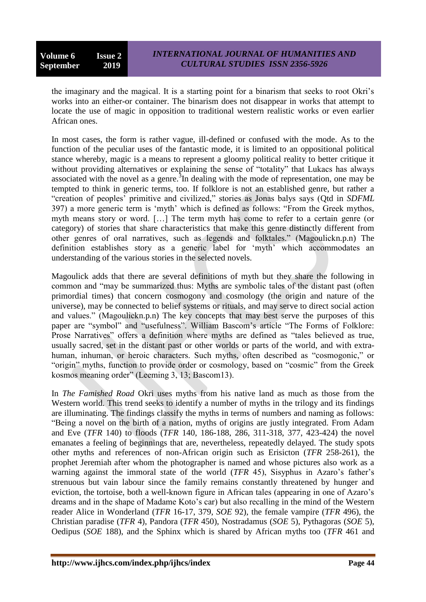the imaginary and the magical. It is a starting point for a binarism that seeks to root Okri"s works into an either-or container. The binarism does not disappear in works that attempt to locate the use of magic in opposition to traditional western realistic works or even earlier African ones.

In most cases, the form is rather vague, ill-defined or confused with the mode. As to the function of the peculiar uses of the fantastic mode, it is limited to an oppositional political stance whereby, magic is a means to represent a gloomy political reality to better critique it without providing alternatives or explaining the sense of "totality" that Lukacs has always associated with the novel as a genre.<sup>3</sup>In dealing with the mode of representation, one may be tempted to think in generic terms, too. If folklore is not an established genre, but rather a "creation of peoples" primitive and civilized," stories as Jonas balys says (Qtd in *SDFML* 397) a more generic term is "myth" which is defined as follows: "From the Greek mythos, myth means story or word. […] The term myth has come to refer to a certain genre (or category) of stories that share characteristics that make this genre distinctly different from other genres of oral narratives, such as legends and folktales." (Magoulickn.p.n) The definition establishes story as a generic label for 'myth' which accommodates an understanding of the various stories in the selected novels.

Magoulick adds that there are several definitions of myth but they share the following in common and "may be summarized thus: Myths are symbolic tales of the distant past (often primordial times) that concern cosmogony and cosmology (the origin and nature of the universe), may be connected to belief systems or rituals, and may serve to direct social action and values." (Magoulickn.p.n) The key concepts that may best serve the purposes of this paper are "symbol" and "usefulness". William Bascom"s article "The Forms of Folklore: Prose Narratives" offers a definition where myths are defined as "tales believed as true, usually sacred, set in the distant past or other worlds or parts of the world, and with extrahuman, inhuman, or heroic characters. Such myths, often described as "cosmogonic," or "origin" myths, function to provide order or cosmology, based on "cosmic" from the Greek kosmos meaning order" (Leeming 3, 13; Bascom13).

In *The Famished Road* Okri uses myths from his native land as much as those from the Western world. This trend seeks to identify a number of myths in the trilogy and its findings are illuminating. The findings classify the myths in terms of numbers and naming as follows: "Being a novel on the birth of a nation, myths of origins are justly integrated. From Adam and Eve (*TFR* 140) to floods (*TFR* 140, 186-188, 286, 311-318, 377, 423-424) the novel emanates a feeling of beginnings that are, nevertheless, repeatedly delayed. The study spots other myths and references of non-African origin such as Erisicton (*TFR* 258-261), the prophet Jeremiah after whom the photographer is named and whose pictures also work as a warning against the immoral state of the world (*TFR* 45), Sisyphus in Azaro's father's strenuous but vain labour since the family remains constantly threatened by hunger and eviction, the tortoise, both a well-known figure in African tales (appearing in one of Azaro"s dreams and in the shape of Madame Koto"s car) but also recalling in the mind of the Western reader Alice in Wonderland (*TFR* 16-17, 379, *SOE* 92), the female vampire (*TFR* 496), the Christian paradise (*TFR* 4), Pandora (*TFR* 450), Nostradamus (*SOE* 5), Pythagoras (*SOE* 5), Oedipus (*SOE* 188), and the Sphinx which is shared by African myths too (*TFR* 461 and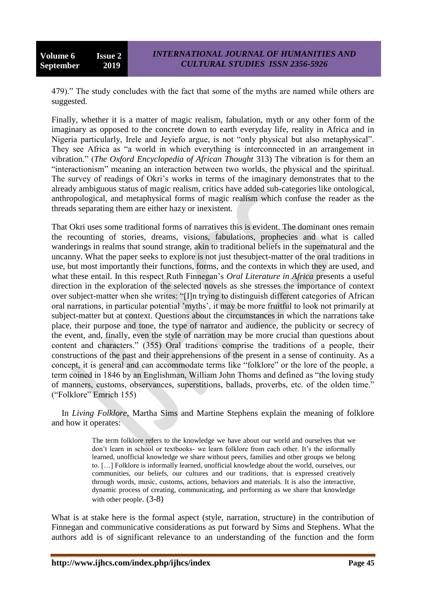479)." The study concludes with the fact that some of the myths are named while others are suggested.

Finally, whether it is a matter of magic realism, fabulation, myth or any other form of the imaginary as opposed to the concrete down to earth everyday life, reality in Africa and in Nigeria particularly, Irele and Jeyiefo argue, is not "only physical but also metaphysical". They see Africa as "a world in which everything is interconnected in an arrangement in vibration." (*The Oxford Encyclopedia of African Thought* 313) The vibration is for them an "interactionism" meaning an interaction between two worlds, the physical and the spiritual. The survey of readings of Okri"s works in terms of the imaginary demonstrates that to the already ambiguous status of magic realism, critics have added sub-categories like ontological, anthropological, and metaphysical forms of magic realism which confuse the reader as the threads separating them are either hazy or inexistent.

That Okri uses some traditional forms of narratives this is evident. The dominant ones remain the recounting of stories, dreams, visions, fabulations, prophecies and what is called wanderings in realms that sound strange, akin to traditional beliefs in the supernatural and the uncanny. What the paper seeks to explore is not just thesubject-matter of the oral traditions in use, but most importantly their functions, forms, and the contexts in which they are used, and what these entail. In this respect Ruth Finnegan"s *Oral Literature in Africa* presents a useful direction in the exploration of the selected novels as she stresses the importance of context over subject-matter when she writes: "[I]n trying to distinguish different categories of African oral narrations, in particular potential "myths", it may be more fruitful to look not primarily at subject-matter but at context. Questions about the circumstances in which the narrations take place, their purpose and tone, the type of narrator and audience, the publicity or secrecy of the event, and, finally, even the style of narration may be more crucial than questions about content and characters." (355) Oral traditions comprise the traditions of a people, their constructions of the past and their apprehensions of the present in a sense of continuity. As a concept, it is general and can accommodate terms like "folklore" or the lore of the people, a term coined in 1846 by an Englishman, William John Thoms and defined as "the loving study of manners, customs, observances, superstitions, ballads, proverbs, etc. of the olden time." ("Folklore" Emrich 155)

In *Living Folklore*, Martha Sims and Martine Stephens explain the meaning of folklore and how it operates:

> The term folklore refers to the knowledge we have about our world and ourselves that we don't learn in school or textbooks- we learn folklore from each other. It's the informally learned, unofficial knowledge we share without peers, families and other groups we belong to. […] Folklore is informally learned, unofficial knowledge about the world, ourselves, our communities, our beliefs, our cultures and our traditions, that is expressed creatively through words, music, customs, actions, behaviors and materials. It is also the interactive, dynamic process of creating, communicating, and performing as we share that knowledge with other people.  $(3-8)$

What is at stake here is the formal aspect (style, narration, structure) in the contribution of Finnegan and communicative considerations as put forward by Sims and Stephens. What the authors add is of significant relevance to an understanding of the function and the form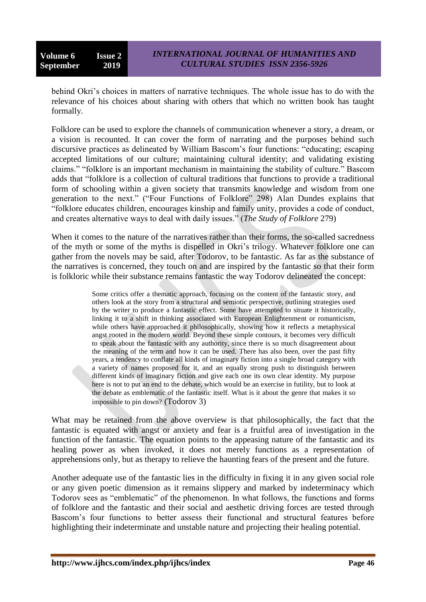behind Okri's choices in matters of narrative techniques. The whole issue has to do with the relevance of his choices about sharing with others that which no written book has taught formally.

Folklore can be used to explore the channels of communication whenever a story, a dream, or a vision is recounted. It can cover the form of narrating and the purposes behind such discursive practices as delineated by William Bascom"s four functions: "educating; escaping accepted limitations of our culture; maintaining cultural identity; and validating existing claims." "folklore is an important mechanism in maintaining the stability of culture." Bascom adds that "folklore is a collection of cultural traditions that functions to provide a traditional form of schooling within a given society that transmits knowledge and wisdom from one generation to the next." ("Four Functions of Folklore" 298) Alan Dundes explains that "folklore educates children, encourages kinship and family unity, provides a code of conduct, and creates alternative ways to deal with daily issues." (*The Study of Folklore* 279)

When it comes to the nature of the narratives rather than their forms, the so-called sacredness of the myth or some of the myths is dispelled in Okri"s trilogy. Whatever folklore one can gather from the novels may be said, after Todorov, to be fantastic. As far as the substance of the narratives is concerned, they touch on and are inspired by the fantastic so that their form is folkloric while their substance remains fantastic the way Todorov delineated the concept:

> Some critics offer a thematic approach, focusing on the content of the fantastic story, and others look at the story from a structural and semiotic perspective, outlining strategies used by the writer to produce a fantastic effect. Some have attempted to situate it historically, linking it to a shift in thinking associated with European Enlightenment or romanticism, while others have approached it philosophically, showing how it reflects a metaphysical angst rooted in the modern world. Beyond these simple contours, it becomes very difficult to speak about the fantastic with any authority, since there is so much disagreement about the meaning of the term and how it can be used. There has also been, over the past fifty years, a tendency to conflate all kinds of imaginary fiction into a single broad category with a variety of names proposed for it, and an equally strong push to distinguish between different kinds of imaginary fiction and give each one its own clear identity. My purpose here is not to put an end to the debate, which would be an exercise in futility, but to look at the debate as emblematic of the fantastic itself. What is it about the genre that makes it so impossible to pin down? (Todorov 3)

What may be retained from the above overview is that philosophically, the fact that the fantastic is equated with angst or anxiety and fear is a fruitful area of investigation in the function of the fantastic. The equation points to the appeasing nature of the fantastic and its healing power as when invoked, it does not merely functions as a representation of apprehensions only, but as therapy to relieve the haunting fears of the present and the future.

Another adequate use of the fantastic lies in the difficulty in fixing it in any given social role or any given poetic dimension as it remains slippery and marked by indeterminacy which Todorov sees as "emblematic" of the phenomenon. In what follows, the functions and forms of folklore and the fantastic and their social and aesthetic driving forces are tested through Bascom"s four functions to better assess their functional and structural features before highlighting their indeterminate and unstable nature and projecting their healing potential.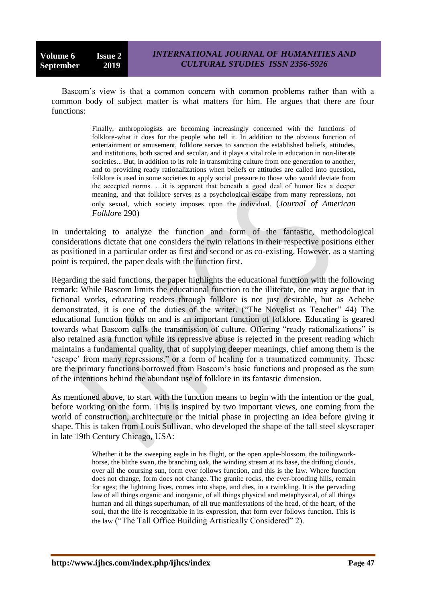Bascom"s view is that a common concern with common problems rather than with a common body of subject matter is what matters for him. He argues that there are four functions:

> Finally, anthropologists are becoming increasingly concerned with the functions of folklore-what it does for the people who tell it. In addition to the obvious function of entertainment or amusement, folklore serves to sanction the established beliefs, attitudes, and institutions, both sacred and secular, and it plays a vital role in education in non-literate societies... But, in addition to its role in transmitting culture from one generation to another, and to providing ready rationalizations when beliefs or attitudes are called into question, folklore is used in some societies to apply social pressure to those who would deviate from the accepted norms. …it is apparent that beneath a good deal of humor lies a deeper meaning, and that folklore serves as a psychological escape from many repressions, not only sexual, which society imposes upon the individual. (*Journal of American Folklore* 290)

In undertaking to analyze the function and form of the fantastic, methodological considerations dictate that one considers the twin relations in their respective positions either as positioned in a particular order as first and second or as co-existing. However, as a starting point is required, the paper deals with the function first.

Regarding the said functions, the paper highlights the educational function with the following remark: While Bascom limits the educational function to the illiterate, one may argue that in fictional works, educating readers through folklore is not just desirable, but as Achebe demonstrated, it is one of the duties of the writer. ("The Novelist as Teacher" 44) The educational function holds on and is an important function of folklore. Educating is geared towards what Bascom calls the transmission of culture. Offering "ready rationalizations" is also retained as a function while its repressive abuse is rejected in the present reading which maintains a fundamental quality, that of supplying deeper meanings, chief among them is the 'escape' from many repressions," or a form of healing for a traumatized community. These are the primary functions borrowed from Bascom"s basic functions and proposed as the sum of the intentions behind the abundant use of folklore in its fantastic dimension.

As mentioned above, to start with the function means to begin with the intention or the goal, before working on the form. This is inspired by two important views, one coming from the world of construction, architecture or the initial phase in projecting an idea before giving it shape. This is taken from Louis Sullivan, who developed the shape of the tall steel skyscraper in late 19th Century Chicago, USA:

> Whether it be the sweeping eagle in his flight, or the open apple-blossom, the toilingworkhorse, the blithe swan, the branching oak, the winding stream at its base, the drifting clouds, over all the coursing sun, form ever follows function, and this is the law. Where function does not change, form does not change. The granite rocks, the ever-brooding hills, remain for ages; the lightning lives, comes into shape, and dies, in a twinkling. It is the pervading law of all things organic and inorganic, of all things physical and metaphysical, of all things human and all things superhuman, of all true manifestations of the head, of the heart, of the soul, that the life is recognizable in its expression, that form ever follows function. This is the law ("The Tall Office Building Artistically Considered" 2).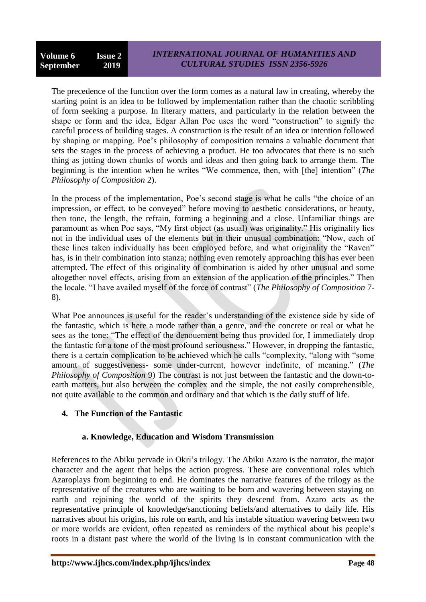The precedence of the function over the form comes as a natural law in creating, whereby the starting point is an idea to be followed by implementation rather than the chaotic scribbling of form seeking a purpose. In literary matters, and particularly in the relation between the shape or form and the idea, Edgar Allan Poe uses the word "construction" to signify the careful process of building stages. A construction is the result of an idea or intention followed by shaping or mapping. Poe"s philosophy of composition remains a valuable document that sets the stages in the process of achieving a product. He too advocates that there is no such thing as jotting down chunks of words and ideas and then going back to arrange them. The beginning is the intention when he writes "We commence, then, with [the] intention" (*The Philosophy of Composition* 2).

In the process of the implementation, Poe"s second stage is what he calls "the choice of an impression, or effect, to be conveyed" before moving to aesthetic considerations, or beauty, then tone, the length, the refrain, forming a beginning and a close. Unfamiliar things are paramount as when Poe says, "My first object (as usual) was originality." His originality lies not in the individual uses of the elements but in their unusual combination: "Now, each of these lines taken individually has been employed before, and what originality the "Raven" has, is in their combination into stanza; nothing even remotely approaching this has ever been attempted. The effect of this originality of combination is aided by other unusual and some altogether novel effects, arising from an extension of the application of the principles." Then the locale. "I have availed myself of the force of contrast" (*The Philosophy of Composition* 7- 8).

What Poe announces is useful for the reader's understanding of the existence side by side of the fantastic, which is here a mode rather than a genre, and the concrete or real or what he sees as the tone: "The effect of the denouement being thus provided for, I immediately drop the fantastic for a tone of the most profound seriousness." However, in dropping the fantastic, there is a certain complication to be achieved which he calls "complexity, "along with "some amount of suggestiveness- some under-current, however indefinite, of meaning." (*The Philosophy of Composition* 9) The contrast is not just between the fantastic and the down-toearth matters, but also between the complex and the simple, the not easily comprehensible, not quite available to the common and ordinary and that which is the daily stuff of life.

# **4. The Function of the Fantastic**

# **a. Knowledge, Education and Wisdom Transmission**

References to the Abiku pervade in Okri"s trilogy. The Abiku Azaro is the narrator, the major character and the agent that helps the action progress. These are conventional roles which Azaroplays from beginning to end. He dominates the narrative features of the trilogy as the representative of the creatures who are waiting to be born and wavering between staying on earth and rejoining the world of the spirits they descend from. Azaro acts as the representative principle of knowledge/sanctioning beliefs/and alternatives to daily life. His narratives about his origins, his role on earth, and his instable situation wavering between two or more worlds are evident, often repeated as reminders of the mythical about his people"s roots in a distant past where the world of the living is in constant communication with the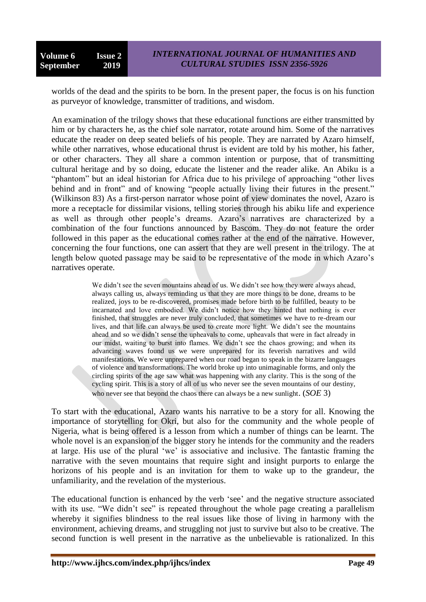worlds of the dead and the spirits to be born. In the present paper, the focus is on his function as purveyor of knowledge, transmitter of traditions, and wisdom.

An examination of the trilogy shows that these educational functions are either transmitted by him or by characters he, as the chief sole narrator, rotate around him. Some of the narratives educate the reader on deep seated beliefs of his people. They are narrated by Azaro himself, while other narratives, whose educational thrust is evident are told by his mother, his father, or other characters. They all share a common intention or purpose, that of transmitting cultural heritage and by so doing, educate the listener and the reader alike. An Abiku is a "phantom" but an ideal historian for Africa due to his privilege of approaching "other lives behind and in front" and of knowing "people actually living their futures in the present." (Wilkinson 83) As a first-person narrator whose point of view dominates the novel, Azaro is more a receptacle for dissimilar visions, telling stories through his abiku life and experience as well as through other people"s dreams. Azaro"s narratives are characterized by a combination of the four functions announced by Bascom. They do not feature the order followed in this paper as the educational comes rather at the end of the narrative. However, concerning the four functions, one can assert that they are well present in the trilogy. The at length below quoted passage may be said to be representative of the mode in which Azaro's narratives operate.

> We didn't see the seven mountains ahead of us. We didn't see how they were always ahead, always calling us, always reminding us that they are more things to be done, dreams to be realized, joys to be re-discovered, promises made before birth to be fulfilled, beauty to be incarnated and love embodied. We didn"t notice how they hinted that nothing is ever finished, that struggles are never truly concluded, that sometimes we have to re-dream our lives, and that life can always be used to create more light. We didn"t see the mountains ahead and so we didn"t sense the upheavals to come, upheavals that were in fact already in our midst, waiting to burst into flames. We didn"t see the chaos growing; and when its advancing waves found us we were unprepared for its feverish narratives and wild manifestations. We were unprepared when our road began to speak in the bizarre languages of violence and transformations. The world broke up into unimaginable forms, and only the circling spirits of the age saw what was happening with any clarity. This is the song of the cycling spirit. This is a story of all of us who never see the seven mountains of our destiny, who never see that beyond the chaos there can always be a new sunlight. (*SOE* 3)

To start with the educational, Azaro wants his narrative to be a story for all. Knowing the importance of storytelling for Okri, but also for the community and the whole people of Nigeria, what is being offered is a lesson from which a number of things can be learnt. The whole novel is an expansion of the bigger story he intends for the community and the readers at large. His use of the plural "we" is associative and inclusive. The fantastic framing the narrative with the seven mountains that require sight and insight purports to enlarge the horizons of his people and is an invitation for them to wake up to the grandeur, the unfamiliarity, and the revelation of the mysterious.

The educational function is enhanced by the verb 'see' and the negative structure associated with its use. "We didn't see" is repeated throughout the whole page creating a parallelism whereby it signifies blindness to the real issues like those of living in harmony with the environment, achieving dreams, and struggling not just to survive but also to be creative. The second function is well present in the narrative as the unbelievable is rationalized. In this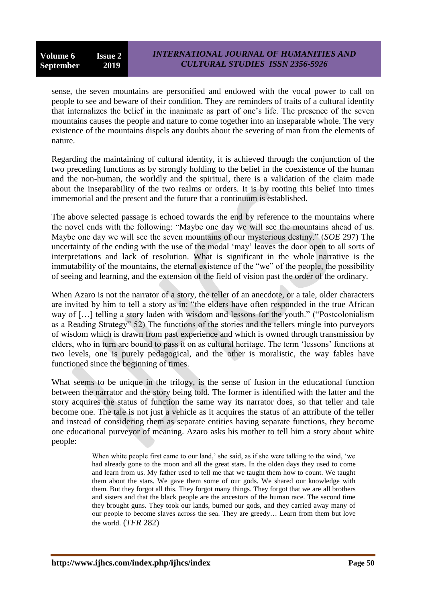sense, the seven mountains are personified and endowed with the vocal power to call on people to see and beware of their condition. They are reminders of traits of a cultural identity that internalizes the belief in the inanimate as part of one"s life. The presence of the seven mountains causes the people and nature to come together into an inseparable whole. The very existence of the mountains dispels any doubts about the severing of man from the elements of nature.

Regarding the maintaining of cultural identity, it is achieved through the conjunction of the two preceding functions as by strongly holding to the belief in the coexistence of the human and the non-human, the worldly and the spiritual, there is a validation of the claim made about the inseparability of the two realms or orders. It is by rooting this belief into times immemorial and the present and the future that a continuum is established.

The above selected passage is echoed towards the end by reference to the mountains where the novel ends with the following: "Maybe one day we will see the mountains ahead of us. Maybe one day we will see the seven mountains of our mysterious destiny." (*SOE* 297) The uncertainty of the ending with the use of the modal "may" leaves the door open to all sorts of interpretations and lack of resolution. What is significant in the whole narrative is the immutability of the mountains, the eternal existence of the "we" of the people, the possibility of seeing and learning, and the extension of the field of vision past the order of the ordinary.

When Azaro is not the narrator of a story, the teller of an anecdote, or a tale, older characters are invited by him to tell a story as in: "the elders have often responded in the true African way of […] telling a story laden with wisdom and lessons for the youth." ("Postcolonialism as a Reading Strategy" 52) The functions of the stories and the tellers mingle into purveyors of wisdom which is drawn from past experience and which is owned through transmission by elders, who in turn are bound to pass it on as cultural heritage. The term "lessons" functions at two levels, one is purely pedagogical, and the other is moralistic, the way fables have functioned since the beginning of times.

What seems to be unique in the trilogy, is the sense of fusion in the educational function between the narrator and the story being told. The former is identified with the latter and the story acquires the status of function the same way its narrator does, so that teller and tale become one. The tale is not just a vehicle as it acquires the status of an attribute of the teller and instead of considering them as separate entities having separate functions, they become one educational purveyor of meaning. Azaro asks his mother to tell him a story about white people:

> When white people first came to our land,' she said, as if she were talking to the wind, 'we had already gone to the moon and all the great stars. In the olden days they used to come and learn from us. My father used to tell me that we taught them how to count. We taught them about the stars. We gave them some of our gods. We shared our knowledge with them. But they forgot all this. They forgot many things. They forgot that we are all brothers and sisters and that the black people are the ancestors of the human race. The second time they brought guns. They took our lands, burned our gods, and they carried away many of our people to become slaves across the sea. They are greedy… Learn from them but love the world. (*TFR* 282)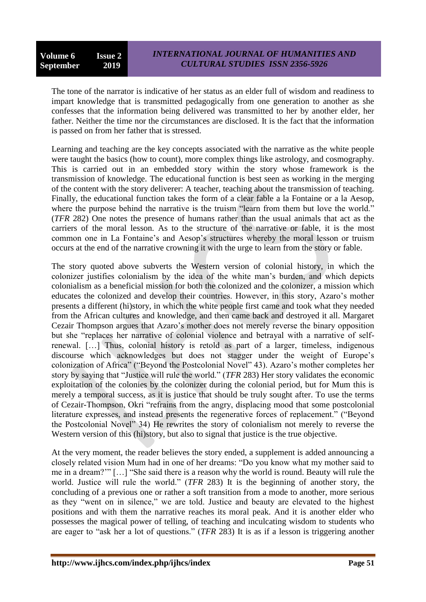The tone of the narrator is indicative of her status as an elder full of wisdom and readiness to impart knowledge that is transmitted pedagogically from one generation to another as she confesses that the information being delivered was transmitted to her by another elder, her father. Neither the time nor the circumstances are disclosed. It is the fact that the information is passed on from her father that is stressed.

Learning and teaching are the key concepts associated with the narrative as the white people were taught the basics (how to count), more complex things like astrology, and cosmography. This is carried out in an embedded story within the story whose framework is the transmission of knowledge. The educational function is best seen as working in the merging of the content with the story deliverer: A teacher, teaching about the transmission of teaching. Finally, the educational function takes the form of a clear fable a la Fontaine or a la Aesop, where the purpose behind the narrative is the truism "learn from them but love the world." (*TFR* 282) One notes the presence of humans rather than the usual animals that act as the carriers of the moral lesson. As to the structure of the narrative or fable, it is the most common one in La Fontaine's and Aesop's structures whereby the moral lesson or truism occurs at the end of the narrative crowning it with the urge to learn from the story or fable.

The story quoted above subverts the Western version of colonial history, in which the colonizer justifies colonialism by the idea of the white man"s burden, and which depicts colonialism as a beneficial mission for both the colonized and the colonizer, a mission which educates the colonized and develop their countries. However, in this story, Azaro"s mother presents a different (hi)story, in which the white people first came and took what they needed from the African cultures and knowledge, and then came back and destroyed it all. Margaret Cezair Thompson argues that Azaro's mother does not merely reverse the binary opposition but she "replaces her narrative of colonial violence and betrayal with a narrative of selfrenewal. […] Thus, colonial history is retold as part of a larger, timeless, indigenous discourse which acknowledges but does not stagger under the weight of Europe"s colonization of Africa" ("Beyond the Postcolonial Novel" 43). Azaro"s mother completes her story by saying that "Justice will rule the world." (*TFR* 283) Her story validates the economic exploitation of the colonies by the colonizer during the colonial period, but for Mum this is merely a temporal success, as it is justice that should be truly sought after. To use the terms of Cezair-Thompson, Okri "refrains from the angry, displacing mood that some postcolonial literature expresses, and instead presents the regenerative forces of replacement." ("Beyond the Postcolonial Novel" 34) He rewrites the story of colonialism not merely to reverse the Western version of this (hi)story, but also to signal that justice is the true objective.

At the very moment, the reader believes the story ended, a supplement is added announcing a closely related vision Mum had in one of her dreams: "Do you know what my mother said to me in a dream?"" […] "She said there is a reason why the world is round. Beauty will rule the world. Justice will rule the world." (*TFR* 283) It is the beginning of another story, the concluding of a previous one or rather a soft transition from a mode to another, more serious as they "went on in silence," we are told. Justice and beauty are elevated to the highest positions and with them the narrative reaches its moral peak. And it is another elder who possesses the magical power of telling, of teaching and inculcating wisdom to students who are eager to "ask her a lot of questions." (*TFR* 283) It is as if a lesson is triggering another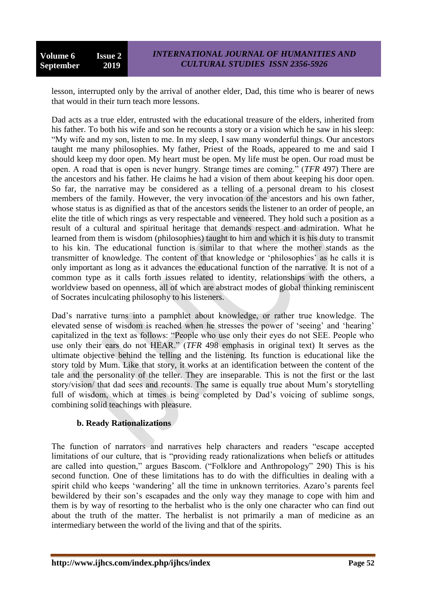lesson, interrupted only by the arrival of another elder, Dad, this time who is bearer of news that would in their turn teach more lessons.

Dad acts as a true elder, entrusted with the educational treasure of the elders, inherited from his father. To both his wife and son he recounts a story or a vision which he saw in his sleep: "My wife and my son, listen to me. In my sleep, I saw many wonderful things. Our ancestors taught me many philosophies. My father, Priest of the Roads, appeared to me and said I should keep my door open. My heart must be open. My life must be open. Our road must be open. A road that is open is never hungry. Strange times are coming." (*TFR* 497) There are the ancestors and his father. He claims he had a vision of them about keeping his door open. So far, the narrative may be considered as a telling of a personal dream to his closest members of the family. However, the very invocation of the ancestors and his own father, whose status is as dignified as that of the ancestors sends the listener to an order of people, an elite the title of which rings as very respectable and veneered. They hold such a position as a result of a cultural and spiritual heritage that demands respect and admiration. What he learned from them is wisdom (philosophies) taught to him and which it is his duty to transmit to his kin. The educational function is similar to that where the mother stands as the transmitter of knowledge. The content of that knowledge or "philosophies" as he calls it is only important as long as it advances the educational function of the narrative. It is not of a common type as it calls forth issues related to identity, relationships with the others, a worldview based on openness, all of which are abstract modes of global thinking reminiscent of Socrates inculcating philosophy to his listeners.

Dad"s narrative turns into a pamphlet about knowledge, or rather true knowledge. The elevated sense of wisdom is reached when he stresses the power of 'seeing' and 'hearing' capitalized in the text as follows: "People who use only their eyes do not SEE. People who use only their ears do not HEAR." (*TFR* 498 emphasis in original text) It serves as the ultimate objective behind the telling and the listening. Its function is educational like the story told by Mum. Like that story, it works at an identification between the content of the tale and the personality of the teller. They are inseparable. This is not the first or the last story/vision/ that dad sees and recounts. The same is equally true about Mum"s storytelling full of wisdom, which at times is being completed by Dad's voicing of sublime songs, combining solid teachings with pleasure.

# **b. Ready Rationalizations**

The function of narrators and narratives help characters and readers "escape accepted limitations of our culture, that is "providing ready rationalizations when beliefs or attitudes are called into question," argues Bascom. ("Folklore and Anthropology" 290) This is his second function. One of these limitations has to do with the difficulties in dealing with a spirit child who keeps 'wandering' all the time in unknown territories. Azaro's parents feel bewildered by their son"s escapades and the only way they manage to cope with him and them is by way of resorting to the herbalist who is the only one character who can find out about the truth of the matter. The herbalist is not primarily a man of medicine as an intermediary between the world of the living and that of the spirits.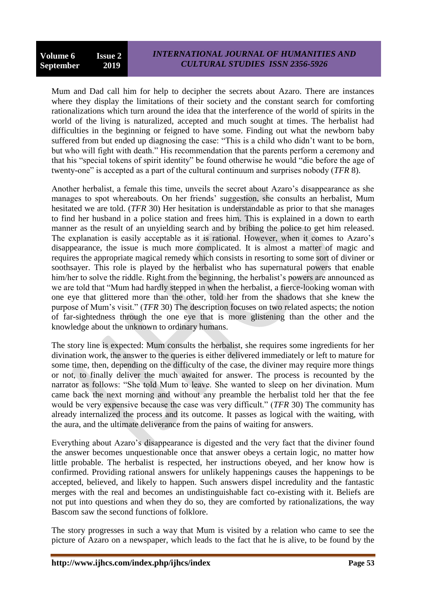Mum and Dad call him for help to decipher the secrets about Azaro. There are instances where they display the limitations of their society and the constant search for comforting rationalizations which turn around the idea that the interference of the world of spirits in the world of the living is naturalized, accepted and much sought at times. The herbalist had difficulties in the beginning or feigned to have some. Finding out what the newborn baby suffered from but ended up diagnosing the case: "This is a child who didn"t want to be born, but who will fight with death." His recommendation that the parents perform a ceremony and that his "special tokens of spirit identity" be found otherwise he would "die before the age of twenty-one" is accepted as a part of the cultural continuum and surprises nobody (*TFR* 8).

Another herbalist, a female this time, unveils the secret about Azaro"s disappearance as she manages to spot whereabouts. On her friends" suggestion, she consults an herbalist, Mum hesitated we are told. (*TFR* 30) Her hesitation is understandable as prior to that she manages to find her husband in a police station and frees him. This is explained in a down to earth manner as the result of an unyielding search and by bribing the police to get him released. The explanation is easily acceptable as it is rational. However, when it comes to Azaro"s disappearance, the issue is much more complicated. It is almost a matter of magic and requires the appropriate magical remedy which consists in resorting to some sort of diviner or soothsayer. This role is played by the herbalist who has supernatural powers that enable him/her to solve the riddle. Right from the beginning, the herbalist's powers are announced as we are told that "Mum had hardly stepped in when the herbalist, a fierce-looking woman with one eye that glittered more than the other, told her from the shadows that she knew the purpose of Mum"s visit." (*TFR* 30) The description focuses on two related aspects; the notion of far-sightedness through the one eye that is more glistening than the other and the knowledge about the unknown to ordinary humans.

The story line is expected: Mum consults the herbalist, she requires some ingredients for her divination work, the answer to the queries is either delivered immediately or left to mature for some time, then, depending on the difficulty of the case, the diviner may require more things or not, to finally deliver the much awaited for answer. The process is recounted by the narrator as follows: "She told Mum to leave. She wanted to sleep on her divination. Mum came back the next morning and without any preamble the herbalist told her that the fee would be very expensive because the case was very difficult." (*TFR* 30) The community has already internalized the process and its outcome. It passes as logical with the waiting, with the aura, and the ultimate deliverance from the pains of waiting for answers.

Everything about Azaro"s disappearance is digested and the very fact that the diviner found the answer becomes unquestionable once that answer obeys a certain logic, no matter how little probable. The herbalist is respected, her instructions obeyed, and her know how is confirmed. Providing rational answers for unlikely happenings causes the happenings to be accepted, believed, and likely to happen. Such answers dispel incredulity and the fantastic merges with the real and becomes an undistinguishable fact co-existing with it. Beliefs are not put into questions and when they do so, they are comforted by rationalizations, the way Bascom saw the second functions of folklore.

The story progresses in such a way that Mum is visited by a relation who came to see the picture of Azaro on a newspaper, which leads to the fact that he is alive, to be found by the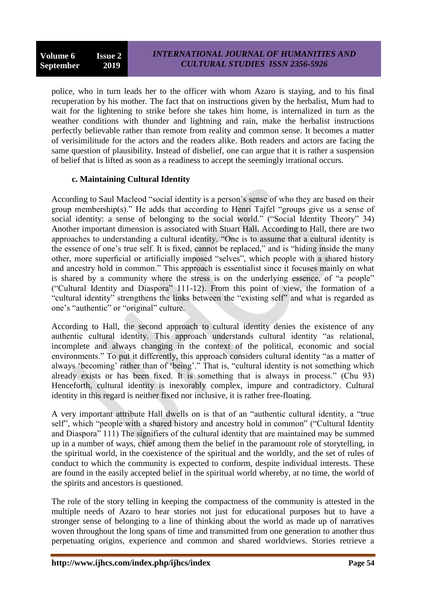police, who in turn leads her to the officer with whom Azaro is staying, and to his final recuperation by his mother. The fact that on instructions given by the herbalist, Mum had to wait for the lightening to strike before she takes him home, is internalized in turn as the weather conditions with thunder and lightning and rain, make the herbalist instructions perfectly believable rather than remote from reality and common sense. It becomes a matter of verisimilitude for the actors and the readers alike. Both readers and actors are facing the same question of plausibility. Instead of disbelief, one can argue that it is rather a suspension of belief that is lifted as soon as a readiness to accept the seemingly irrational occurs.

#### **c. Maintaining Cultural Identity**

According to Saul Macleod "social identity is a person"s sense of who they are based on their group membership(s)." He adds that according to Henri Tajfel "groups give us a sense of social identity: a sense of belonging to the social world." ("Social Identity Theory" 34) Another important dimension is associated with Stuart Hall. According to Hall, there are two approaches to understanding a cultural identity. "One is to assume that a cultural identity is the essence of one's true self. It is fixed, cannot be replaced," and is "hiding inside the many other, more superficial or artificially imposed "selves", which people with a shared history and ancestry hold in common." This approach is essentialist since it focuses mainly on what is shared by a community where the stress is on the underlying essence, of "a people" ("Cultural Identity and Diaspora" 111-12). From this point of view, the formation of a "cultural identity" strengthens the links between the "existing self" and what is regarded as one"s "authentic" or "original" culture.

According to Hall, the second approach to cultural identity denies the existence of any authentic cultural identity. This approach understands cultural identity "as relational, incomplete and always changing in the context of the political, economic and social environments." To put it differently, this approach considers cultural identity "as a matter of always 'becoming' rather than of 'being'." That is, "cultural identity is not something which already exists or has been fixed. It is something that is always in process." (Chu 93) Henceforth, cultural identity is inexorably complex, impure and contradictory. Cultural identity in this regard is neither fixed nor inclusive, it is rather free-floating.

A very important attribute Hall dwells on is that of an "authentic cultural identity, a "true self", which "people with a shared history and ancestry hold in common" ("Cultural Identity and Diaspora" 111) The signifiers of the cultural identity that are maintained may be summed up in a number of ways, chief among them the belief in the paramount role of storytelling, in the spiritual world, in the coexistence of the spiritual and the worldly, and the set of rules of conduct to which the community is expected to conform, despite individual interests. These are found in the easily accepted belief in the spiritual world whereby, at no time, the world of the spirits and ancestors is questioned.

The role of the story telling in keeping the compactness of the community is attested in the multiple needs of Azaro to hear stories not just for educational purposes but to have a stronger sense of belonging to a line of thinking about the world as made up of narratives woven throughout the long spans of time and transmitted from one generation to another thus perpetuating origins, experience and common and shared worldviews. Stories retrieve a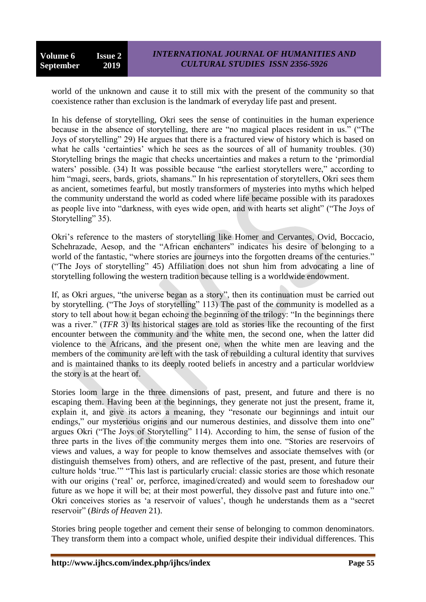world of the unknown and cause it to still mix with the present of the community so that coexistence rather than exclusion is the landmark of everyday life past and present.

In his defense of storytelling, Okri sees the sense of continuities in the human experience because in the absence of storytelling, there are "no magical places resident in us." ("The Joys of storytelling" 29) He argues that there is a fractured view of history which is based on what he calls 'certainties' which he sees as the sources of all of humanity troubles. (30) Storytelling brings the magic that checks uncertainties and makes a return to the "primordial waters' possible. (34) It was possible because "the earliest storytellers were," according to him "magi, seers, bards, griots, shamans." In his representation of storytellers, Okri sees them as ancient, sometimes fearful, but mostly transformers of mysteries into myths which helped the community understand the world as coded where life became possible with its paradoxes as people live into "darkness, with eyes wide open, and with hearts set alight" ("The Joys of Storytelling" 35).

Okri"s reference to the masters of storytelling like Homer and Cervantes, Ovid, Boccacio, Schehrazade, Aesop, and the "African enchanters" indicates his desire of belonging to a world of the fantastic, "where stories are journeys into the forgotten dreams of the centuries." ("The Joys of storytelling" 45) Affiliation does not shun him from advocating a line of storytelling following the western tradition because telling is a worldwide endowment.

If, as Okri argues, "the universe began as a story", then its continuation must be carried out by storytelling. ("The Joys of storytelling" 113) The past of the community is modelled as a story to tell about how it began echoing the beginning of the trilogy: "In the beginnings there was a river." (*TFR* 3) Its historical stages are told as stories like the recounting of the first encounter between the community and the white men, the second one, when the latter did violence to the Africans, and the present one, when the white men are leaving and the members of the community are left with the task of rebuilding a cultural identity that survives and is maintained thanks to its deeply rooted beliefs in ancestry and a particular worldview the story is at the heart of.

Stories loom large in the three dimensions of past, present, and future and there is no escaping them. Having been at the beginnings, they generate not just the present, frame it, explain it, and give its actors a meaning, they "resonate our beginnings and intuit our endings," our mysterious origins and our numerous destinies, and dissolve them into one" argues Okri ("The Joys of Storytelling" 114). According to him, the sense of fusion of the three parts in the lives of the community merges them into one. "Stories are reservoirs of views and values, a way for people to know themselves and associate themselves with (or distinguish themselves from) others, and are reflective of the past, present, and future their culture holds "true."" "This last is particularly crucial: classic stories are those which resonate with our origins ('real' or, perforce, imagined/created) and would seem to foreshadow our future as we hope it will be; at their most powerful, they dissolve past and future into one." Okri conceives stories as "a reservoir of values", though he understands them as a "secret reservoir" (*Birds of Heaven* 21).

Stories bring people together and cement their sense of belonging to common denominators. They transform them into a compact whole, unified despite their individual differences. This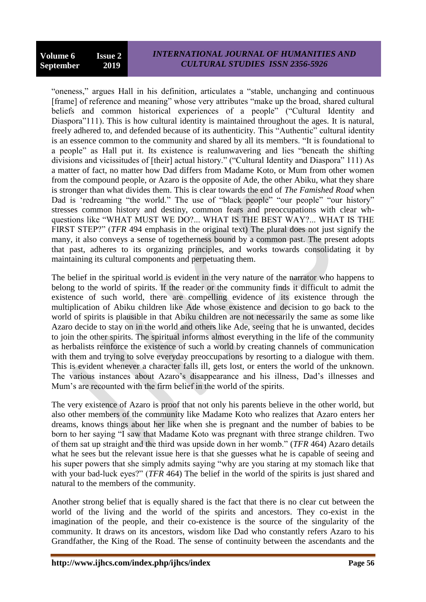# *INTERNATIONAL JOURNAL OF HUMANITIES AND CULTURAL STUDIES ISSN 2356-5926*

"oneness," argues Hall in his definition, articulates a "stable, unchanging and continuous [frame] of reference and meaning" whose very attributes "make up the broad, shared cultural beliefs and common historical experiences of a people" ("Cultural Identity and Diaspora"111). This is how cultural identity is maintained throughout the ages. It is natural, freely adhered to, and defended because of its authenticity. This "Authentic" cultural identity is an essence common to the community and shared by all its members. "It is foundational to a people" as Hall put it. Its existence is realunwavering and lies "beneath the shifting divisions and vicissitudes of [their] actual history." ("Cultural Identity and Diaspora" 111) As a matter of fact, no matter how Dad differs from Madame Koto, or Mum from other women from the compound people, or Azaro is the opposite of Ade, the other Abiku, what they share is stronger than what divides them. This is clear towards the end of *The Famished Road* when Dad is 'redreaming "the world." The use of "black people" "our people" "our history" stresses common history and destiny, common fears and preoccupations with clear whquestions like "WHAT MUST WE DO?... WHAT IS THE BEST WAY?... WHAT IS THE FIRST STEP?" (*TFR* 494 emphasis in the original text) The plural does not just signify the many, it also conveys a sense of togetherness bound by a common past. The present adopts that past, adheres to its organizing principles, and works towards consolidating it by maintaining its cultural components and perpetuating them.

The belief in the spiritual world is evident in the very nature of the narrator who happens to belong to the world of spirits. If the reader or the community finds it difficult to admit the existence of such world, there are compelling evidence of its existence through the multiplication of Abiku children like Ade whose existence and decision to go back to the world of spirits is plausible in that Abiku children are not necessarily the same as some like Azaro decide to stay on in the world and others like Ade, seeing that he is unwanted, decides to join the other spirits. The spiritual informs almost everything in the life of the community as herbalists reinforce the existence of such a world by creating channels of communication with them and trying to solve everyday preoccupations by resorting to a dialogue with them. This is evident whenever a character falls ill, gets lost, or enters the world of the unknown. The various instances about Azaro"s disappearance and his illness, Dad"s illnesses and Mum"s are recounted with the firm belief in the world of the spirits.

The very existence of Azaro is proof that not only his parents believe in the other world, but also other members of the community like Madame Koto who realizes that Azaro enters her dreams, knows things about her like when she is pregnant and the number of babies to be born to her saying "I saw that Madame Koto was pregnant with three strange children. Two of them sat up straight and the third was upside down in her womb." (*TFR* 464) Azaro details what he sees but the relevant issue here is that she guesses what he is capable of seeing and his super powers that she simply admits saying "why are you staring at my stomach like that with your bad-luck eyes?" (*TFR* 464) The belief in the world of the spirits is just shared and natural to the members of the community.

Another strong belief that is equally shared is the fact that there is no clear cut between the world of the living and the world of the spirits and ancestors. They co-exist in the imagination of the people, and their co-existence is the source of the singularity of the community. It draws on its ancestors, wisdom like Dad who constantly refers Azaro to his Grandfather, the King of the Road. The sense of continuity between the ascendants and the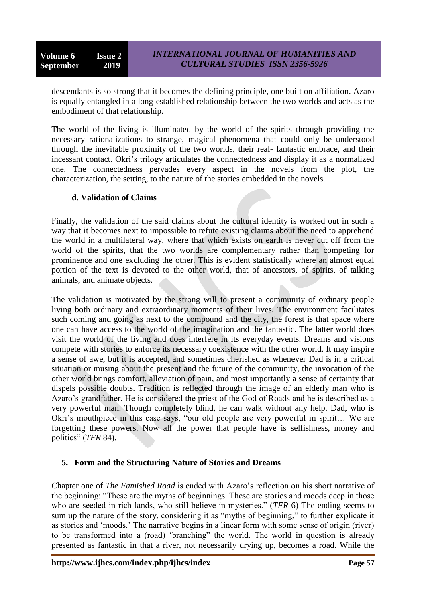descendants is so strong that it becomes the defining principle, one built on affiliation. Azaro is equally entangled in a long-established relationship between the two worlds and acts as the embodiment of that relationship.

The world of the living is illuminated by the world of the spirits through providing the necessary rationalizations to strange, magical phenomena that could only be understood through the inevitable proximity of the two worlds, their real- fantastic embrace, and their incessant contact. Okri"s trilogy articulates the connectedness and display it as a normalized one. The connectedness pervades every aspect in the novels from the plot, the characterization, the setting, to the nature of the stories embedded in the novels.

### **d. Validation of Claims**

Finally, the validation of the said claims about the cultural identity is worked out in such a way that it becomes next to impossible to refute existing claims about the need to apprehend the world in a multilateral way, where that which exists on earth is never cut off from the world of the spirits, that the two worlds are complementary rather than competing for prominence and one excluding the other. This is evident statistically where an almost equal portion of the text is devoted to the other world, that of ancestors, of spirits, of talking animals, and animate objects.

The validation is motivated by the strong will to present a community of ordinary people living both ordinary and extraordinary moments of their lives. The environment facilitates such coming and going as next to the compound and the city, the forest is that space where one can have access to the world of the imagination and the fantastic. The latter world does visit the world of the living and does interfere in its everyday events. Dreams and visions compete with stories to enforce its necessary coexistence with the other world. It may inspire a sense of awe, but it is accepted, and sometimes cherished as whenever Dad is in a critical situation or musing about the present and the future of the community, the invocation of the other world brings comfort, alleviation of pain, and most importantly a sense of certainty that dispels possible doubts. Tradition is reflected through the image of an elderly man who is Azaro"s grandfather. He is considered the priest of the God of Roads and he is described as a very powerful man. Though completely blind, he can walk without any help. Dad, who is Okri"s mouthpiece in this case says, "our old people are very powerful in spirit… We are forgetting these powers. Now all the power that people have is selfishness, money and politics" (*TFR* 84).

# **5. Form and the Structuring Nature of Stories and Dreams**

Chapter one of *The Famished Road* is ended with Azaro"s reflection on his short narrative of the beginning: "These are the myths of beginnings. These are stories and moods deep in those who are seeded in rich lands, who still believe in mysteries." (*TFR* 6) The ending seems to sum up the nature of the story, considering it as "myths of beginning," to further explicate it as stories and "moods." The narrative begins in a linear form with some sense of origin (river) to be transformed into a (road) "branching" the world. The world in question is already presented as fantastic in that a river, not necessarily drying up, becomes a road. While the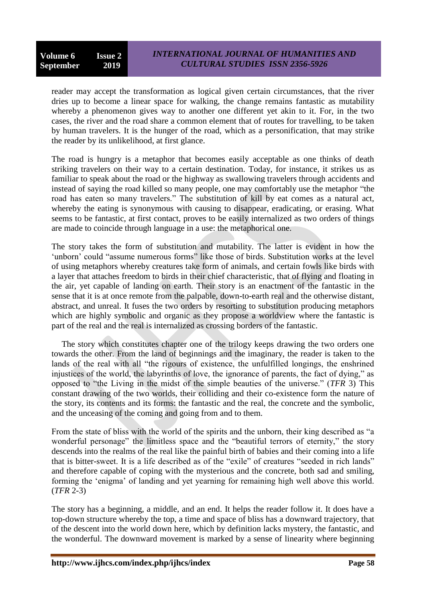reader may accept the transformation as logical given certain circumstances, that the river dries up to become a linear space for walking, the change remains fantastic as mutability whereby a phenomenon gives way to another one different yet akin to it. For, in the two cases, the river and the road share a common element that of routes for travelling, to be taken by human travelers. It is the hunger of the road, which as a personification, that may strike the reader by its unlikelihood, at first glance.

The road is hungry is a metaphor that becomes easily acceptable as one thinks of death striking travelers on their way to a certain destination. Today, for instance, it strikes us as familiar to speak about the road or the highway as swallowing travelers through accidents and instead of saying the road killed so many people, one may comfortably use the metaphor "the road has eaten so many travelers." The substitution of kill by eat comes as a natural act, whereby the eating is synonymous with causing to disappear, eradicating, or erasing. What seems to be fantastic, at first contact, proves to be easily internalized as two orders of things are made to coincide through language in a use: the metaphorical one.

The story takes the form of substitution and mutability. The latter is evident in how the 'unborn' could "assume numerous forms" like those of birds. Substitution works at the level of using metaphors whereby creatures take form of animals, and certain fowls like birds with a layer that attaches freedom to birds in their chief characteristic, that of flying and floating in the air, yet capable of landing on earth. Their story is an enactment of the fantastic in the sense that it is at once remote from the palpable, down-to-earth real and the otherwise distant, abstract, and unreal. It fuses the two orders by resorting to substitution producing metaphors which are highly symbolic and organic as they propose a worldview where the fantastic is part of the real and the real is internalized as crossing borders of the fantastic.

The story which constitutes chapter one of the trilogy keeps drawing the two orders one towards the other. From the land of beginnings and the imaginary, the reader is taken to the lands of the real with all "the rigours of existence, the unfulfilled longings, the enshrined injustices of the world, the labyrinths of love, the ignorance of parents, the fact of dying," as opposed to "the Living in the midst of the simple beauties of the universe." (*TFR* 3) This constant drawing of the two worlds, their colliding and their co-existence form the nature of the story, its contents and its forms: the fantastic and the real, the concrete and the symbolic, and the unceasing of the coming and going from and to them.

From the state of bliss with the world of the spirits and the unborn, their king described as "a wonderful personage" the limitless space and the "beautiful terrors of eternity," the story descends into the realms of the real like the painful birth of babies and their coming into a life that is bitter-sweet. It is a life described as of the "exile" of creatures "seeded in rich lands" and therefore capable of coping with the mysterious and the concrete, both sad and smiling, forming the "enigma" of landing and yet yearning for remaining high well above this world. (*TFR* 2-3)

The story has a beginning, a middle, and an end. It helps the reader follow it. It does have a top-down structure whereby the top, a time and space of bliss has a downward trajectory, that of the descent into the world down here, which by definition lacks mystery, the fantastic, and the wonderful. The downward movement is marked by a sense of linearity where beginning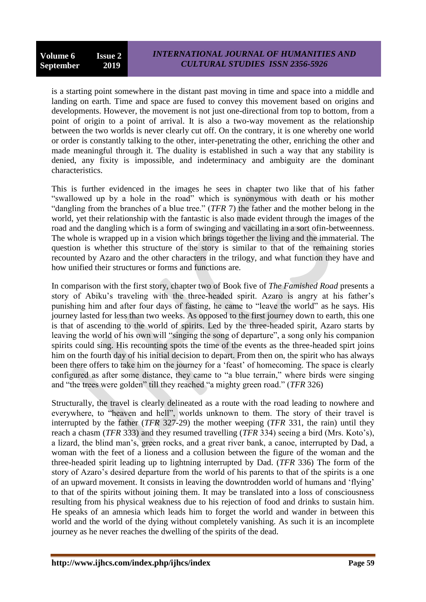is a starting point somewhere in the distant past moving in time and space into a middle and landing on earth. Time and space are fused to convey this movement based on origins and developments. However, the movement is not just one-directional from top to bottom, from a point of origin to a point of arrival. It is also a two-way movement as the relationship between the two worlds is never clearly cut off. On the contrary, it is one whereby one world or order is constantly talking to the other, inter-penetrating the other, enriching the other and made meaningful through it. The duality is established in such a way that any stability is denied, any fixity is impossible, and indeterminacy and ambiguity are the dominant characteristics.

This is further evidenced in the images he sees in chapter two like that of his father "swallowed up by a hole in the road" which is synonymous with death or his mother "dangling from the branches of a blue tree." (*TFR* 7) the father and the mother belong in the world, yet their relationship with the fantastic is also made evident through the images of the road and the dangling which is a form of swinging and vacillating in a sort ofin-betweenness. The whole is wrapped up in a vision which brings together the living and the immaterial. The question is whether this structure of the story is similar to that of the remaining stories recounted by Azaro and the other characters in the trilogy, and what function they have and how unified their structures or forms and functions are.

In comparison with the first story, chapter two of Book five of *The Famished Road* presents a story of Abiku's traveling with the three-headed spirit. Azaro is angry at his father's punishing him and after four days of fasting, he came to "leave the world" as he says. His journey lasted for less than two weeks. As opposed to the first journey down to earth, this one is that of ascending to the world of spirits. Led by the three-headed spirit, Azaro starts by leaving the world of his own will "singing the song of departure", a song only his companion spirits could sing. His recounting spots the time of the events as the three-headed spirt joins him on the fourth day of his initial decision to depart. From then on, the spirit who has always been there offers to take him on the journey for a 'feast' of homecoming. The space is clearly configured as after some distance, they came to "a blue terrain," where birds were singing and "the trees were golden" till they reached "a mighty green road." (*TFR* 326)

Structurally, the travel is clearly delineated as a route with the road leading to nowhere and everywhere, to "heaven and hell", worlds unknown to them. The story of their travel is interrupted by the father (*TFR* 327-29) the mother weeping (*TFR* 331, the rain) until they reach a chasm (*TFR* 333) and they resumed travelling (*TFR* 334) seeing a bird (Mrs. Koto's), a lizard, the blind man"s, green rocks, and a great river bank, a canoe, interrupted by Dad, a woman with the feet of a lioness and a collusion between the figure of the woman and the three-headed spirit leading up to lightning interrupted by Dad. (*TFR* 336) The form of the story of Azaro"s desired departure from the world of his parents to that of the spirits is a one of an upward movement. It consists in leaving the downtrodden world of humans and "flying" to that of the spirits without joining them. It may be translated into a loss of consciousness resulting from his physical weakness due to his rejection of food and drinks to sustain him. He speaks of an amnesia which leads him to forget the world and wander in between this world and the world of the dying without completely vanishing. As such it is an incomplete journey as he never reaches the dwelling of the spirits of the dead.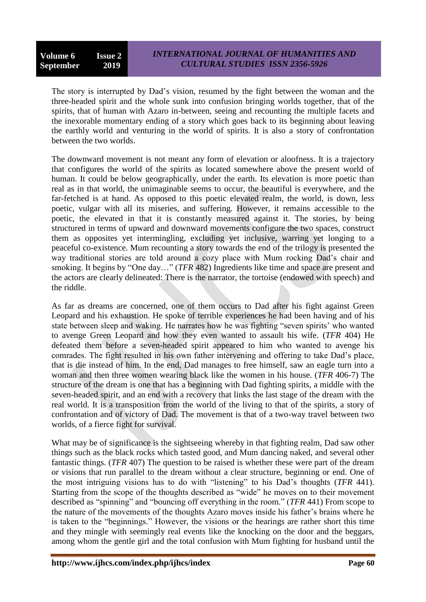The story is interrupted by Dad"s vision, resumed by the fight between the woman and the three-headed spirit and the whole sunk into confusion bringing worlds together, that of the spirits, that of human with Azaro in-between, seeing and recounting the multiple facets and the inexorable momentary ending of a story which goes back to its beginning about leaving the earthly world and venturing in the world of spirits. It is also a story of confrontation between the two worlds.

The downward movement is not meant any form of elevation or aloofness. It is a trajectory that configures the world of the spirits as located somewhere above the present world of human. It could be below geographically, under the earth. Its elevation is more poetic than real as in that world, the unimaginable seems to occur, the beautiful is everywhere, and the far-fetched is at hand. As opposed to this poetic elevated realm, the world, is down, less poetic, vulgar with all its miseries, and suffering. However, it remains accessible to the poetic, the elevated in that it is constantly measured against it. The stories, by being structured in terms of upward and downward movements configure the two spaces, construct them as opposites yet intermingling, excluding yet inclusive, warring yet longing to a peaceful co-existence. Mum recounting a story towards the end of the trilogy is presented the way traditional stories are told around a cozy place with Mum rocking Dad"s chair and smoking. It begins by "One day…" (*TFR* 482) Ingredients like time and space are present and the actors are clearly delineated: There is the narrator, the tortoise (endowed with speech) and the riddle.

As far as dreams are concerned, one of them occurs to Dad after his fight against Green Leopard and his exhaustion. He spoke of terrible experiences he had been having and of his state between sleep and waking. He narrates how he was fighting "seven spirits' who wanted to avenge Green Leopard and how they even wanted to assault his wife. (*TFR* 404) He defeated them before a seven-headed spirit appeared to him who wanted to avenge his comrades. The fight resulted in his own father intervening and offering to take Dad"s place, that is die instead of him. In the end, Dad manages to free himself, saw an eagle turn into a woman and then three women wearing black like the women in his house. (*TFR* 406-7) The structure of the dream is one that has a beginning with Dad fighting spirits, a middle with the seven-headed spirit, and an end with a recovery that links the last stage of the dream with the real world. It is a transposition from the world of the living to that of the spirits, a story of confrontation and of victory of Dad. The movement is that of a two-way travel between two worlds, of a fierce fight for survival.

What may be of significance is the sightseeing whereby in that fighting realm, Dad saw other things such as the black rocks which tasted good, and Mum dancing naked, and several other fantastic things. (*TFR* 407) The question to be raised is whether these were part of the dream or visions that run parallel to the dream without a clear structure, beginning or end. One of the most intriguing visions has to do with "listening" to his Dad"s thoughts (*TFR* 441). Starting from the scope of the thoughts described as "wide" he moves on to their movement described as "spinning" and "bouncing off everything in the room." (*TFR* 441) From scope to the nature of the movements of the thoughts Azaro moves inside his father"s brains where he is taken to the "beginnings." However, the visions or the hearings are rather short this time and they mingle with seemingly real events like the knocking on the door and the beggars, among whom the gentle girl and the total confusion with Mum fighting for husband until the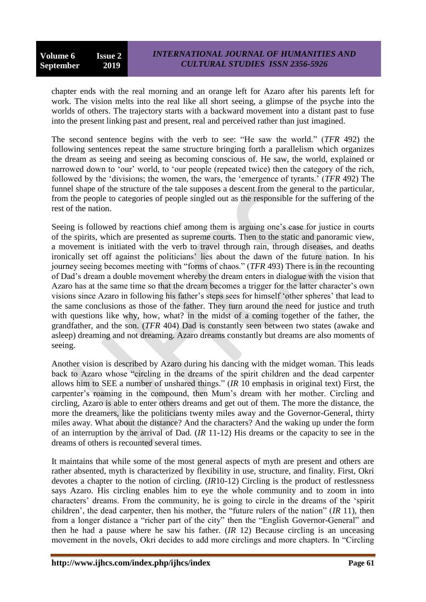chapter ends with the real morning and an orange left for Azaro after his parents left for work. The vision melts into the real like all short seeing, a glimpse of the psyche into the worlds of others. The trajectory starts with a backward movement into a distant past to fuse into the present linking past and present, real and perceived rather than just imagined.

The second sentence begins with the verb to see: "He saw the world." (*TFR* 492) the following sentences repeat the same structure bringing forth a parallelism which organizes the dream as seeing and seeing as becoming conscious of. He saw, the world, explained or narrowed down to 'our' world, to 'our people (repeated twice) then the category of the rich, followed by the "divisions; the women, the wars, the "emergence of tyrants." (*TFR* 492) The funnel shape of the structure of the tale supposes a descent from the general to the particular, from the people to categories of people singled out as the responsible for the suffering of the rest of the nation.

Seeing is followed by reactions chief among them is arguing one's case for justice in courts of the spirits, which are presented as supreme courts. Then to the static and panoramic view, a movement is initiated with the verb to travel through rain, through diseases, and deaths ironically set off against the politicians' lies about the dawn of the future nation. In his journey seeing becomes meeting with "forms of chaos." (*TFR* 493) There is in the recounting of Dad"s dream a double movement whereby the dream enters in dialogue with the vision that Azaro has at the same time so that the dream becomes a trigger for the latter character's own visions since Azaro in following his father"s steps sees for himself "other spheres" that lead to the same conclusions as those of the father. They turn around the need for justice and truth with questions like why, how, what? in the midst of a coming together of the father, the grandfather, and the son. (*TFR* 404) Dad is constantly seen between two states (awake and asleep) dreaming and not dreaming. Azaro dreams constantly but dreams are also moments of seeing.

Another vision is described by Azaro during his dancing with the midget woman. This leads back to Azaro whose "circling in the dreams of the spirit children and the dead carpenter allows him to SEE a number of unshared things." (*IR* 10 emphasis in original text) First, the carpenter"s roaming in the compound, then Mum"s dream with her mother. Circling and circling, Azaro is able to enter others dreams and get out of them. The more the distance, the more the dreamers, like the politicians twenty miles away and the Governor-General, thirty miles away. What about the distance? And the characters? And the waking up under the form of an interruption by the arrival of Dad. (*IR* 11-12) His dreams or the capacity to see in the dreams of others is recounted several times.

It maintains that while some of the most general aspects of myth are present and others are rather absented, myth is characterized by flexibility in use, structure, and finality. First, Okri devotes a chapter to the notion of circling. (*IR*10-12) Circling is the product of restlessness says Azaro. His circling enables him to eye the whole community and to zoom in into characters" dreams. From the community, he is going to circle in the dreams of the "spirit children", the dead carpenter, then his mother, the "future rulers of the nation" (*IR* 11), then from a longer distance a "richer part of the city" then the "English Governor-General" and then he had a pause where he saw his father. (*IR* 12) Because circling is an unceasing movement in the novels, Okri decides to add more circlings and more chapters. In "Circling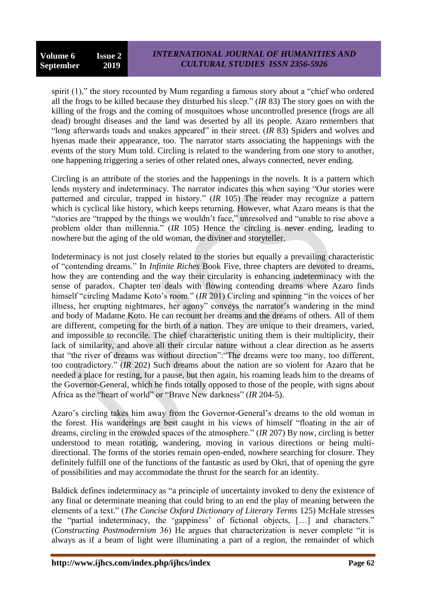spirit (1)," the story recounted by Mum regarding a famous story about a "chief who ordered all the frogs to be killed because they disturbed his sleep." (*IR* 83) The story goes on with the killing of the frogs and the coming of mosquitoes whose uncontrolled presence (frogs are all dead) brought diseases and the land was deserted by all its people. Azaro remembers that "long afterwards toads and snakes appeared" in their street. (*IR* 83) Spiders and wolves and hyenas made their appearance, too. The narrator starts associating the happenings with the events of the story Mum told. Circling is related to the wandering from one story to another, one happening triggering a series of other related ones, always connected, never ending.

Circling is an attribute of the stories and the happenings in the novels. It is a pattern which lends mystery and indeterminacy. The narrator indicates this when saying "Our stories were patterned and circular, trapped in history." (*IR* 105) The reader may recognize a pattern which is cyclical like history, which keeps returning. However, what Azaro means is that the "stories are "trapped by the things we wouldn"t face," unresolved and "unable to rise above a problem older than millennia." (*IR* 105) Hence the circling is never ending, leading to nowhere but the aging of the old woman, the diviner and storyteller.

Indeterminacy is not just closely related to the stories but equally a prevailing characteristic of "contending dreams." In *Infinite Riches* Book Five, three chapters are devoted to dreams, how they are contending and the way their circularity is enhancing indeterminacy with the sense of paradox. Chapter ten deals with flowing contending dreams where Azaro finds himself "circling Madame Koto's room." *(IR 201)* Circling and spinning "in the voices of her illness, her erupting nightmares, her agony" conveys the narrator's wandering in the mind and body of Madame Koto. He can recount her dreams and the dreams of others. All of them are different, competing for the birth of a nation. They are unique to their dreamers, varied, and impossible to reconcile. The chief characteristic uniting them is their multiplicity, their lack of similarity, and above all their circular nature without a clear direction as he asserts that "the river of dreams was without direction":"The dreams were too many, too different, too contradictory." (*IR* 202) Such dreams about the nation are so violent for Azaro that he needed a place for resting, for a pause, but then again, his roaming leads him to the dreams of the Governor-General, which he finds totally opposed to those of the people, with signs about Africa as the "heart of world" or "Brave New darkness" (*IR* 204-5).

Azaro's circling takes him away from the Governor-General's dreams to the old woman in the forest. His wanderings are best caught in his views of himself "floating in the air of dreams, circling in the crowded spaces of the atmosphere." (*IR* 207) By now, circling is better understood to mean rotating, wandering, moving in various directions or being multidirectional. The forms of the stories remain open-ended, nowhere searching for closure. They definitely fulfill one of the functions of the fantastic as used by Okri, that of opening the gyre of possibilities and may accommodate the thrust for the search for an identity.

Baldick defines indeterminacy as "a principle of uncertainty invoked to deny the existence of any final or determinate meaning that could bring to an end the play of meaning between the elements of a text." (*The Concise Oxford Dictionary of Literary Terms* 125) McHale stresses the "partial indeterminacy, the "gappiness" of fictional objects, […] and characters." (*Constructing Postmodernism* 36) He argues that characterization is never complete "it is always as if a beam of light were illuminating a part of a region, the remainder of which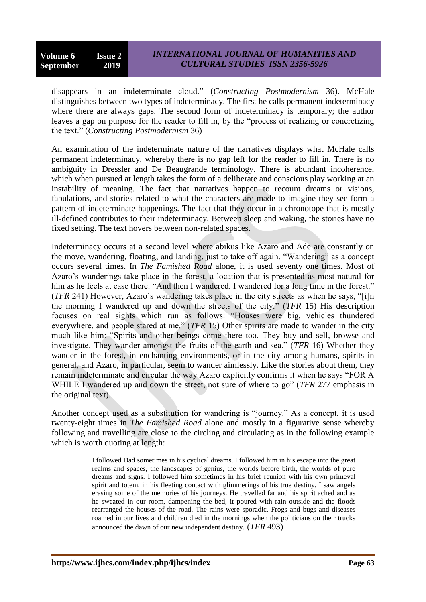disappears in an indeterminate cloud." (*Constructing Postmodernism* 36). McHale distinguishes between two types of indeterminacy. The first he calls permanent indeterminacy where there are always gaps. The second form of indeterminacy is temporary; the author leaves a gap on purpose for the reader to fill in, by the "process of realizing or concretizing the text." (*Constructing Postmodernism* 36)

An examination of the indeterminate nature of the narratives displays what McHale calls permanent indeterminacy, whereby there is no gap left for the reader to fill in. There is no ambiguity in Dressler and De Beaugrande terminology. There is abundant incoherence, which when pursued at length takes the form of a deliberate and conscious play working at an instability of meaning. The fact that narratives happen to recount dreams or visions, fabulations, and stories related to what the characters are made to imagine they see form a pattern of indeterminate happenings. The fact that they occur in a chronotope that is mostly ill-defined contributes to their indeterminacy. Between sleep and waking, the stories have no fixed setting. The text hovers between non-related spaces.

Indeterminacy occurs at a second level where abikus like Azaro and Ade are constantly on the move, wandering, floating, and landing, just to take off again. "Wandering" as a concept occurs several times. In *The Famished Road* alone, it is used seventy one times. Most of Azaro"s wanderings take place in the forest, a location that is presented as most natural for him as he feels at ease there: "And then I wandered. I wandered for a long time in the forest." (*TFR* 241) However, Azaro"s wandering takes place in the city streets as when he says, "[i]n the morning I wandered up and down the streets of the city." (*TFR* 15) His description focuses on real sights which run as follows: "Houses were big, vehicles thundered everywhere, and people stared at me." (*TFR* 15) Other spirits are made to wander in the city much like him: "Spirits and other beings come there too. They buy and sell, browse and investigate. They wander amongst the fruits of the earth and sea." (*TFR* 16) Whether they wander in the forest, in enchanting environments, or in the city among humans, spirits in general, and Azaro, in particular, seem to wander aimlessly. Like the stories about them, they remain indeterminate and circular the way Azaro explicitly confirms it when he says "FOR A WHILE I wandered up and down the street, not sure of where to go" (*TFR* 277 emphasis in the original text).

Another concept used as a substitution for wandering is "journey." As a concept, it is used twenty-eight times in *The Famished Road* alone and mostly in a figurative sense whereby following and travelling are close to the circling and circulating as in the following example which is worth quoting at length:

> I followed Dad sometimes in his cyclical dreams. I followed him in his escape into the great realms and spaces, the landscapes of genius, the worlds before birth, the worlds of pure dreams and signs. I followed him sometimes in his brief reunion with his own primeval spirit and totem, in his fleeting contact with glimmerings of his true destiny. I saw angels erasing some of the memories of his journeys. He travelled far and his spirit ached and as he sweated in our room, dampening the bed, it poured with rain outside and the floods rearranged the houses of the road. The rains were sporadic. Frogs and bugs and diseases roamed in our lives and children died in the mornings when the politicians on their trucks announced the dawn of our new independent destiny. (*TFR* 493)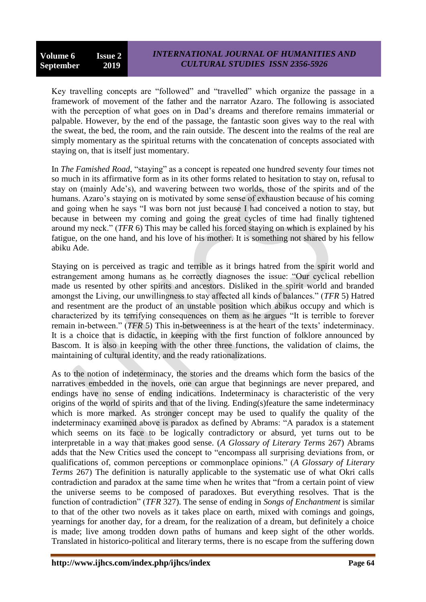Key travelling concepts are "followed" and "travelled" which organize the passage in a framework of movement of the father and the narrator Azaro. The following is associated with the perception of what goes on in Dad's dreams and therefore remains immaterial or palpable. However, by the end of the passage, the fantastic soon gives way to the real with the sweat, the bed, the room, and the rain outside. The descent into the realms of the real are simply momentary as the spiritual returns with the concatenation of concepts associated with staying on, that is itself just momentary.

In *The Famished Road*, "staying" as a concept is repeated one hundred seventy four times not so much in its affirmative form as in its other forms related to hesitation to stay on, refusal to stay on (mainly Ade"s), and wavering between two worlds, those of the spirits and of the humans. Azaro's staying on is motivated by some sense of exhaustion because of his coming and going when he says "I was born not just because I had conceived a notion to stay, but because in between my coming and going the great cycles of time had finally tightened around my neck." (*TFR* 6) This may be called his forced staying on which is explained by his fatigue, on the one hand, and his love of his mother. It is something not shared by his fellow abiku Ade.

Staying on is perceived as tragic and terrible as it brings hatred from the spirit world and estrangement among humans as he correctly diagnoses the issue: "Our cyclical rebellion made us resented by other spirits and ancestors. Disliked in the spirit world and branded amongst the Living, our unwillingness to stay affected all kinds of balances." (*TFR* 5) Hatred and resentment are the product of an unstable position which abikus occupy and which is characterized by its terrifying consequences on them as he argues "It is terrible to forever remain in-between." (*TFR* 5) This in-betweenness is at the heart of the texts' indeterminacy. It is a choice that is didactic, in keeping with the first function of folklore announced by Bascom. It is also in keeping with the other three functions, the validation of claims, the maintaining of cultural identity, and the ready rationalizations.

As to the notion of indeterminacy, the stories and the dreams which form the basics of the narratives embedded in the novels, one can argue that beginnings are never prepared, and endings have no sense of ending indications. Indeterminacy is characteristic of the very origins of the world of spirits and that of the living. Ending(s)feature the same indeterminacy which is more marked. As stronger concept may be used to qualify the quality of the indeterminacy examined above is paradox as defined by Abrams: "A paradox is a statement which seems on its face to be logically contradictory or absurd, yet turns out to be interpretable in a way that makes good sense. (*A Glossary of Literary Terms* 267) Abrams adds that the New Critics used the concept to "encompass all surprising deviations from, or qualifications of, common perceptions or commonplace opinions." (*A Glossary of Literary Terms* 267) The definition is naturally applicable to the systematic use of what Okri calls contradiction and paradox at the same time when he writes that "from a certain point of view the universe seems to be composed of paradoxes. But everything resolves. That is the function of contradiction" (*TFR* 327). The sense of ending in *Songs of Enchantment* is similar to that of the other two novels as it takes place on earth, mixed with comings and goings, yearnings for another day, for a dream, for the realization of a dream, but definitely a choice is made; live among trodden down paths of humans and keep sight of the other worlds. Translated in historico-political and literary terms, there is no escape from the suffering down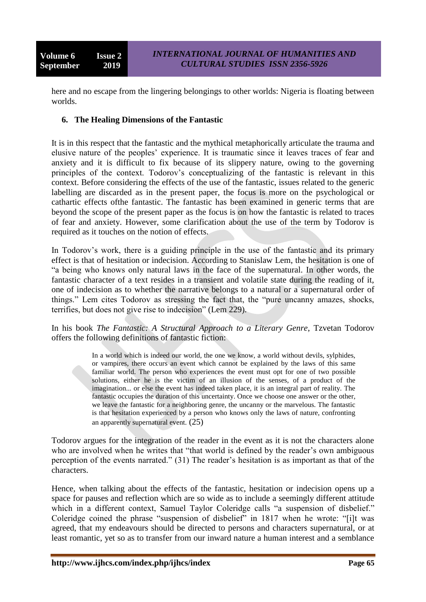here and no escape from the lingering belongings to other worlds: Nigeria is floating between worlds.

### **6. The Healing Dimensions of the Fantastic**

It is in this respect that the fantastic and the mythical metaphorically articulate the trauma and elusive nature of the peoples" experience. It is traumatic since it leaves traces of fear and anxiety and it is difficult to fix because of its slippery nature, owing to the governing principles of the context. Todorov's conceptualizing of the fantastic is relevant in this context. Before considering the effects of the use of the fantastic, issues related to the generic labelling are discarded as in the present paper, the focus is more on the psychological or cathartic effects ofthe fantastic. The fantastic has been examined in generic terms that are beyond the scope of the present paper as the focus is on how the fantastic is related to traces of fear and anxiety. However, some clarification about the use of the term by Todorov is required as it touches on the notion of effects.

In Todorov's work, there is a guiding principle in the use of the fantastic and its primary effect is that of hesitation or indecision. According to Stanislaw Lem, the hesitation is one of "a being who knows only natural laws in the face of the supernatural. In other words, the fantastic character of a text resides in a transient and volatile state during the reading of it, one of indecision as to whether the narrative belongs to a natural or a supernatural order of things." Lem cites Todorov as stressing the fact that, the "pure uncanny amazes, shocks, terrifies, but does not give rise to indecision" (Lem 229).

In his book *The Fantastic: A Structural Approach to a Literary Genre*, Tzvetan Todorov offers the following definitions of fantastic fiction:

> In a world which is indeed our world, the one we know, a world without devils, sylphides, or vampires, there occurs an event which cannot be explained by the laws of this same familiar world. The person who experiences the event must opt for one of two possible solutions, either he is the victim of an illusion of the senses, of a product of the imagination... or else the event has indeed taken place, it is an integral part of reality. The fantastic occupies the duration of this uncertainty. Once we choose one answer or the other, we leave the fantastic for a neighboring genre, the uncanny or the marvelous. The fantastic is that hesitation experienced by a person who knows only the laws of nature, confronting an apparently supernatural event. (25)

Todorov argues for the integration of the reader in the event as it is not the characters alone who are involved when he writes that "that world is defined by the reader's own ambiguous perception of the events narrated." (31) The reader"s hesitation is as important as that of the characters.

Hence, when talking about the effects of the fantastic, hesitation or indecision opens up a space for pauses and reflection which are so wide as to include a seemingly different attitude which in a different context, Samuel Taylor Coleridge calls "a suspension of disbelief." Coleridge coined the phrase "suspension of disbelief" in 1817 when he wrote: "[i]t was agreed, that my endeavours should be directed to persons and characters supernatural, or at least romantic, yet so as to transfer from our inward nature a human interest and a semblance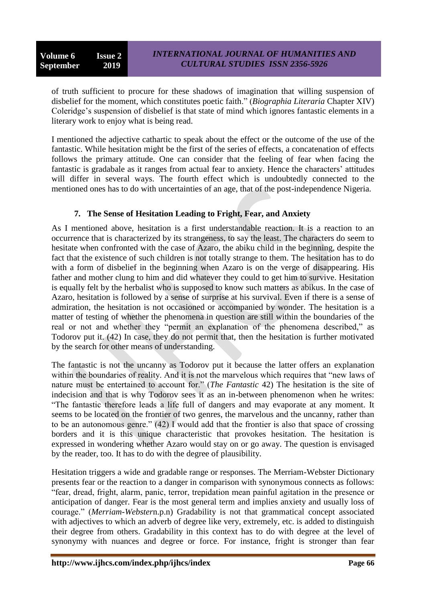of truth sufficient to procure for these shadows of imagination that willing suspension of disbelief for the moment, which constitutes poetic faith." (*Biographia Literaria* Chapter XIV) Coleridge"s suspension of disbelief is that state of mind which ignores fantastic elements in a literary work to enjoy what is being read.

I mentioned the adjective cathartic to speak about the effect or the outcome of the use of the fantastic. While hesitation might be the first of the series of effects, a concatenation of effects follows the primary attitude. One can consider that the feeling of fear when facing the fantastic is gradabale as it ranges from actual fear to anxiety. Hence the characters' attitudes will differ in several ways. The fourth effect which is undoubtedly connected to the mentioned ones has to do with uncertainties of an age, that of the post-independence Nigeria.

# **7. The Sense of Hesitation Leading to Fright, Fear, and Anxiety**

As I mentioned above, hesitation is a first understandable reaction. It is a reaction to an occurrence that is characterized by its strangeness, to say the least. The characters do seem to hesitate when confronted with the case of Azaro, the abiku child in the beginning, despite the fact that the existence of such children is not totally strange to them. The hesitation has to do with a form of disbelief in the beginning when Azaro is on the verge of disappearing. His father and mother clung to him and did whatever they could to get him to survive. Hesitation is equally felt by the herbalist who is supposed to know such matters as abikus. In the case of Azaro, hesitation is followed by a sense of surprise at his survival. Even if there is a sense of admiration, the hesitation is not occasioned or accompanied by wonder. The hesitation is a matter of testing of whether the phenomena in question are still within the boundaries of the real or not and whether they "permit an explanation of the phenomena described," as Todorov put it. (42) In case, they do not permit that, then the hesitation is further motivated by the search for other means of understanding.

The fantastic is not the uncanny as Todorov put it because the latter offers an explanation within the boundaries of reality. And it is not the marvelous which requires that "new laws of nature must be entertained to account for." (*The Fantastic* 42) The hesitation is the site of indecision and that is why Todorov sees it as an in-between phenomenon when he writes: "The fantastic therefore leads a life full of dangers and may evaporate at any moment. It seems to be located on the frontier of two genres, the marvelous and the uncanny, rather than to be an autonomous genre." (42) I would add that the frontier is also that space of crossing borders and it is this unique characteristic that provokes hesitation. The hesitation is expressed in wondering whether Azaro would stay on or go away. The question is envisaged by the reader, too. It has to do with the degree of plausibility.

Hesitation triggers a wide and gradable range or responses. The Merriam-Webster Dictionary presents fear or the reaction to a danger in comparison with synonymous connects as follows: "fear, dread, fright, alarm, panic, terror, trepidation mean painful agitation in the presence or anticipation of danger. Fear is the most general term and implies anxiety and usually loss of courage." (*Merriam-Webster*n.p.n) Gradability is not that grammatical concept associated with adjectives to which an adverb of degree like very, extremely, etc. is added to distinguish their degree from others. Gradability in this context has to do with degree at the level of synonymy with nuances and degree or force. For instance, fright is stronger than fear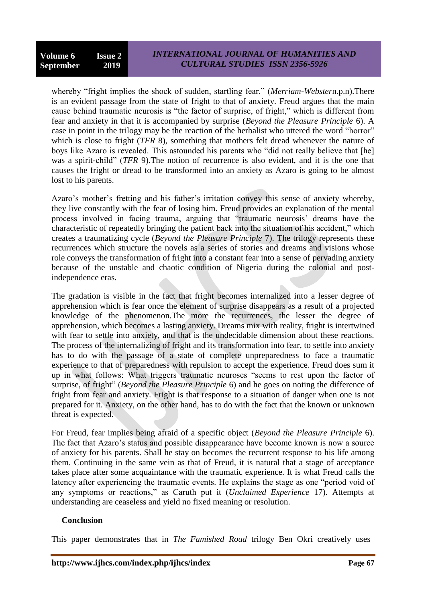whereby "fright implies the shock of sudden, startling fear." (*Merriam-Webster*n.p.n).There is an evident passage from the state of fright to that of anxiety. Freud argues that the main cause behind traumatic neurosis is "the factor of surprise, of fright," which is different from fear and anxiety in that it is accompanied by surprise (*Beyond the Pleasure Principle* 6). A case in point in the trilogy may be the reaction of the herbalist who uttered the word "horror" which is close to fright *(TFR 8)*, something that mothers felt dread whenever the nature of boys like Azaro is revealed. This astounded his parents who "did not really believe that [he] was a spirit-child" (*TFR* 9).The notion of recurrence is also evident, and it is the one that causes the fright or dread to be transformed into an anxiety as Azaro is going to be almost lost to his parents.

Azaro's mother's fretting and his father's irritation convey this sense of anxiety whereby, they live constantly with the fear of losing him. Freud provides an explanation of the mental process involved in facing trauma, arguing that "traumatic neurosis" dreams have the characteristic of repeatedly bringing the patient back into the situation of his accident," which creates a traumatizing cycle (*Beyond the Pleasure Principle* 7). The trilogy represents these recurrences which structure the novels as a series of stories and dreams and visions whose role conveys the transformation of fright into a constant fear into a sense of pervading anxiety because of the unstable and chaotic condition of Nigeria during the colonial and postindependence eras.

The gradation is visible in the fact that fright becomes internalized into a lesser degree of apprehension which is fear once the element of surprise disappears as a result of a projected knowledge of the phenomenon.The more the recurrences, the lesser the degree of apprehension, which becomes a lasting anxiety. Dreams mix with reality, fright is intertwined with fear to settle into anxiety, and that is the undecidable dimension about these reactions. The process of the internalizing of fright and its transformation into fear, to settle into anxiety has to do with the passage of a state of complete unpreparedness to face a traumatic experience to that of preparedness with repulsion to accept the experience. Freud does sum it up in what follows: What triggers traumatic neuroses "seems to rest upon the factor of surprise, of fright" (*Beyond the Pleasure Principle* 6) and he goes on noting the difference of fright from fear and anxiety. Fright is that response to a situation of danger when one is not prepared for it. Anxiety, on the other hand, has to do with the fact that the known or unknown threat is expected.

For Freud, fear implies being afraid of a specific object (*Beyond the Pleasure Principle* 6). The fact that Azaro's status and possible disappearance have become known is now a source of anxiety for his parents. Shall he stay on becomes the recurrent response to his life among them. Continuing in the same vein as that of Freud, it is natural that a stage of acceptance takes place after some acquaintance with the traumatic experience. It is what Freud calls the latency after experiencing the traumatic events. He explains the stage as one "period void of any symptoms or reactions," as Caruth put it (*Unclaimed Experience* 17). Attempts at understanding are ceaseless and yield no fixed meaning or resolution.

#### **Conclusion**

This paper demonstrates that in *The Famished Road* trilogy Ben Okri creatively uses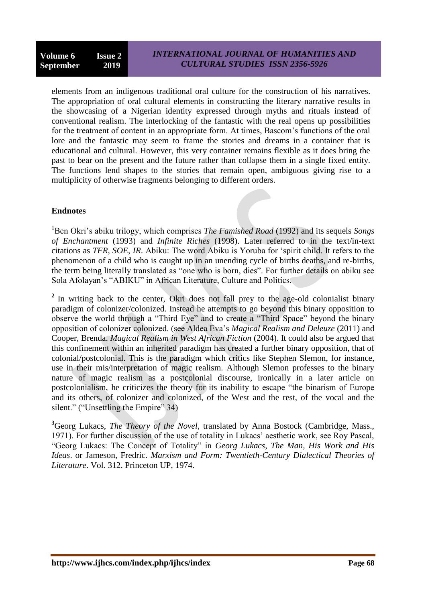elements from an indigenous traditional oral culture for the construction of his narratives. The appropriation of oral cultural elements in constructing the literary narrative results in the showcasing of a Nigerian identity expressed through myths and rituals instead of conventional realism. The interlocking of the fantastic with the real opens up possibilities for the treatment of content in an appropriate form. At times, Bascom"s functions of the oral lore and the fantastic may seem to frame the stories and dreams in a container that is educational and cultural. However, this very container remains flexible as it does bring the past to bear on the present and the future rather than collapse them in a single fixed entity. The functions lend shapes to the stories that remain open, ambiguous giving rise to a multiplicity of otherwise fragments belonging to different orders.

### **Endnotes**

<sup>1</sup>Ben Okri's abiku trilogy, which comprises *The Famished Road* (1992) and its sequels *Songs of Enchantment* (1993) and *Infinite Riches* (1998). Later referred to in the text/in-text citations as *TFR*, *SOE*, *IR*. Abiku: The word Abiku is Yoruba for "spirit child. It refers to the phenomenon of a child who is caught up in an unending cycle of births deaths, and re-births, the term being literally translated as "one who is born, dies". For further details on abiku see Sola Afolayan"s "ABIKU" in African Literature, Culture and Politics.

<sup>2</sup> In writing back to the center, Okri does not fall prey to the age-old colonialist binary paradigm of colonizer/colonized. Instead he attempts to go beyond this binary opposition to observe the world through a "Third Eye" and to create a "Third Space" beyond the binary opposition of colonizer colonized. (see Aldea Eva"s *Magical Realism and Deleuze* (2011) and Cooper, Brenda. *Magical Realism in West African Fiction* (2004). It could also be argued that this confinement within an inherited paradigm has created a further binary opposition, that of colonial/postcolonial. This is the paradigm which critics like Stephen Slemon, for instance, use in their mis/interpretation of magic realism. Although Slemon professes to the binary nature of magic realism as a postcolonial discourse, ironically in a later article on postcolonialism, he criticizes the theory for its inability to escape "the binarism of Europe and its others, of colonizer and colonized, of the West and the rest, of the vocal and the silent." ("Unsettling the Empire" 34)

**<sup>3</sup>**Georg Lukacs, *The Theory of the Novel*, translated by Anna Bostock (Cambridge, Mass., 1971). For further discussion of the use of totality in Lukacs" aesthetic work, see Roy Pascal, "Georg Lukacs: The Concept of Totality" in *Georg Lukacs*, *The Man, His Work and His Ideas*. or Jameson, Fredric. *Marxism and Form: Twentieth-Century Dialectical Theories of Literature*. Vol. 312. Princeton UP, 1974.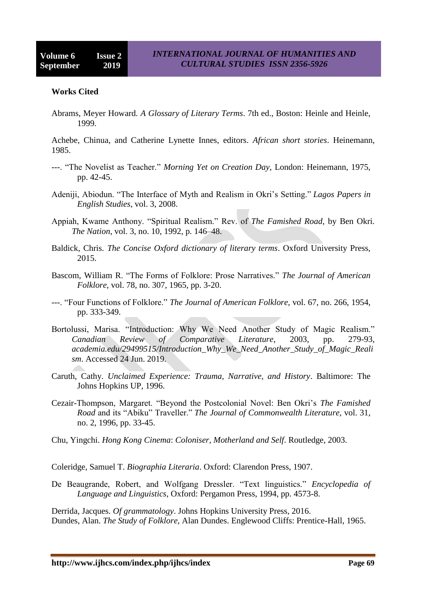#### **Works Cited**

Abrams, Meyer Howard. *A Glossary of Literary Terms*. 7th ed., Boston: Heinle and Heinle, 1999.

Achebe, Chinua, and Catherine Lynette Innes, editors. *African short stories*. Heinemann, 1985.

- ---. "The Novelist as Teacher." *Morning Yet on Creation Day*, London: Heinemann, 1975, pp. 42-45.
- Adeniji, Abiodun. "The Interface of Myth and Realism in Okri"s Setting." *Lagos Papers in English Studies*, vol. 3, 2008.
- Appiah, Kwame Anthony. "Spiritual Realism." Rev. of *The Famished Road*, by Ben Okri. *The Nation*, vol. 3, no. 10, 1992, p. 146–48.
- Baldick, Chris. *The Concise Oxford dictionary of literary terms*. Oxford University Press, 2015.
- Bascom, William R. "The Forms of Folklore: Prose Narratives." *The Journal of American Folklore*, vol. 78, no. 307, 1965, pp. 3-20.
- ---. "Four Functions of Folklore." *The Journal of American Folklore*, vol. 67, no. 266, 1954, pp. 333-349.
- Bortolussi, Marisa. "Introduction: Why We Need Another Study of Magic Realism." *Canadian Review of Comparative Literature*, 2003, pp. 279-93, *academia.edu/29499515/Introduction\_Why\_We\_Need\_Another\_Study\_of\_Magic\_Reali sm*. Accessed 24 Jun. 2019.
- Caruth, Cathy. *Unclaimed Experience: Trauma, Narrative, and History*. Baltimore: The Johns Hopkins UP, 1996.
- Cezair-Thompson, Margaret. "Beyond the Postcolonial Novel: Ben Okri"s *The Famished Road* and its "Abiku" Traveller." *The Journal of Commonwealth Literature*, vol. 31, no. 2, 1996, pp. 33-45.
- Chu, Yingchi. *Hong Kong Cinema*: *Coloniser, Motherland and Self*. Routledge, 2003.

Coleridge, Samuel T. *Biographia Literaria*. Oxford: Clarendon Press, 1907.

De Beaugrande, Robert, and Wolfgang Dressler. "Text linguistics." *Encyclopedia of Language and Linguistics*, Oxford: Pergamon Press, 1994, pp. 4573-8.

Derrida, Jacques. *Of grammatology*. Johns Hopkins University Press, 2016. Dundes, Alan. *The Study of Folklore*, Alan Dundes. Englewood Cliffs: Prentice-Hall, 1965.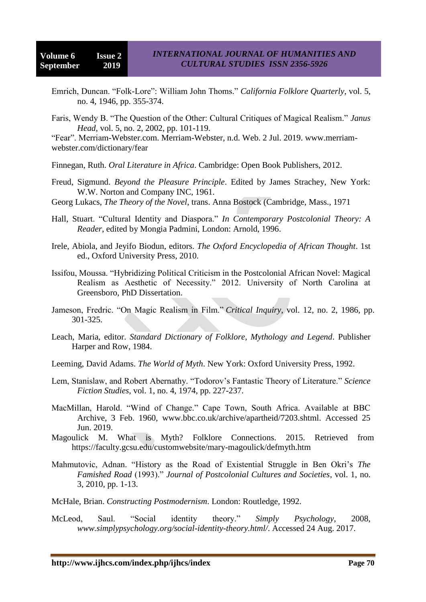- Emrich, Duncan. "Folk-Lore": William John Thoms." *California Folklore Quarterly*, vol. 5, no. 4, 1946, pp. 355-374.
- Faris, Wendy B. "The Question of the Other: Cultural Critiques of Magical Realism." *Janus Head*, vol. 5, no. 2, 2002, pp. 101-119.

"Fear". Merriam-Webster.com. Merriam-Webster, n.d. Web. 2 Jul. 2019. www.merriamwebster.com/dictionary/fear

Finnegan, Ruth. *Oral Literature in Africa*. Cambridge: Open Book Publishers, 2012.

- Freud, Sigmund. *Beyond the Pleasure Principle*. Edited by James Strachey, New York: W.W. Norton and Company INC, 1961.
- Georg Lukacs, *The Theory of the Novel*, trans. Anna Bostock (Cambridge, Mass., 1971
- Hall, Stuart. "Cultural Identity and Diaspora." *In Contemporary Postcolonial Theory: A Reader*, edited by Mongia Padmini, London: Arnold, 1996.
- Irele, Abiola, and Jeyifo Biodun, editors. *The Oxford Encyclopedia of African Thought*. 1st ed., Oxford University Press, 2010.
- Issifou, Moussa. "Hybridizing Political Criticism in the Postcolonial African Novel: Magical Realism as Aesthetic of Necessity." 2012. University of North Carolina at Greensboro, PhD Dissertation.
- Jameson, Fredric. "On Magic Realism in Film." *Critical Inquiry*, vol. 12, no. 2, 1986, pp. 301-325.
- Leach, Maria, editor. *Standard Dictionary of Folklore, Mythology and Legend*. Publisher Harper and Row, 1984.
- Leeming, David Adams. *The World of Myth*. New York: Oxford University Press, 1992.
- Lem, Stanislaw, and Robert Abernathy. "Todorov"s Fantastic Theory of Literature." *Science Fiction Studies*, vol. 1, no. 4, 1974, pp. 227-237.
- MacMillan, Harold. "Wind of Change." Cape Town, South Africa. Available at BBC Archive, 3 Feb. 1960, [www.bbc.co.uk/archive/apartheid/7203.shtml. Accessed 25](http://www.bbc.co.uk/archive/apartheid/7203.shtml.%20Accessed%2025%20Jun.%202019)  [Jun. 2019.](http://www.bbc.co.uk/archive/apartheid/7203.shtml.%20Accessed%2025%20Jun.%202019)
- Magoulick M. What is Myth? Folklore Connections. 2015. Retrieved from https://faculty.gcsu.edu/customwebsite/mary-magoulick/defmyth.htm
- Mahmutovic, Adnan. "History as the Road of Existential Struggle in Ben Okri"s *The Famished Road* (1993)." *Journal of Postcolonial Cultures and Societies*, vol. 1, no. 3, 2010, pp. 1-13.
- McHale, Brian. *Constructing Postmodernism*. London: Routledge, 1992.
- McLeod, Saul. "Social identity theory." *Simply Psychology*, 2008, *www.simplypsychology.org/social-identity-theory.html/*. Accessed 24 Aug. 2017.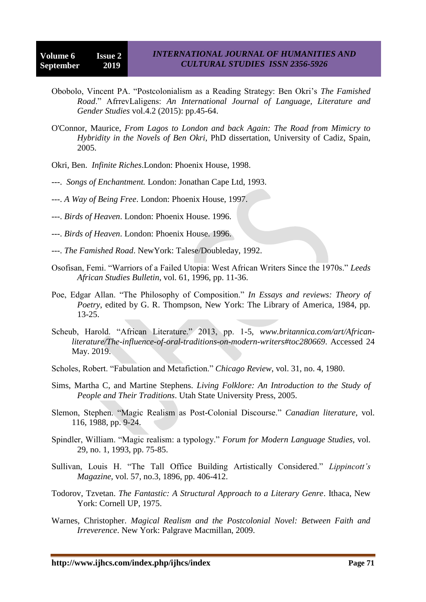- Obobolo, Vincent PA. "Postcolonialism as a Reading Strategy: Ben Okri"s *The Famished Road*." AfrrevLaligens: *An International Journal of Language, Literature and Gender Studies* vol.4.2 (2015): pp.45-64.
- O'Connor, Maurice, *From Lagos to London and back Again: The Road from Mimicry to Hybridity in the Novels of Ben Okri*, PhD dissertation, University of Cadiz, Spain, 2005.
- Okri, Ben. *Infinite Riches*.London: Phoenix House, 1998.
- ---. *Songs of Enchantment.* London: Jonathan Cape Ltd, 1993.
- ---. *A Way of Being Free*. London: Phoenix House, 1997.
- ---. *Birds of Heaven*. London: Phoenix House. 1996.
- ---. *Birds of Heaven*. London: Phoenix House. 1996.
- ---. *The Famished Road*. NewYork: Talese/Doubleday, 1992.
- Osofisan, Femi. "Warriors of a Failed Utopia: West African Writers Since the 1970s." *Leeds African Studies Bulletin*, vol. 61, 1996, pp. 11-36.
- Poe, Edgar Allan. "The Philosophy of Composition." *In Essays and reviews: Theory of Poetry*, edited by G. R. Thompson, New York: The Library of America, 1984, pp. 13-25.
- Scheub, Harold. "African Literature." 2013, pp. 1-5, *www.britannica.com/art/Africanliterature/The-influence-of-oral-traditions-on-modern-writers#toc280669*. Accessed 24 May. 2019.
- Scholes, Robert. "Fabulation and Metafiction." *Chicago Review*, vol. 31, no. 4, 1980.
- Sims, Martha C, and Martine Stephens. *Living Folklore: An Introduction to the Study of People and Their Traditions*. Utah State University Press, 2005.
- Slemon, Stephen. "Magic Realism as Post-Colonial Discourse." *Canadian literature*, vol. 116, 1988, pp. 9-24.
- Spindler, William. "Magic realism: a typology." *Forum for Modern Language Studies*, vol. 29, no. 1, 1993, pp. 75-85.
- Sullivan, Louis H. "The Tall Office Building Artistically Considered." *Lippincott's Magazine*, vol. 57, no.3, 1896, pp. 406-412.
- Todorov, Tzvetan. *The Fantastic: A Structural Approach to a Literary Genre*. Ithaca, New York: Cornell UP, 1975.
- Warnes, Christopher. *Magical Realism and the Postcolonial Novel: Between Faith and Irreverence*. New York: Palgrave Macmillan, 2009.